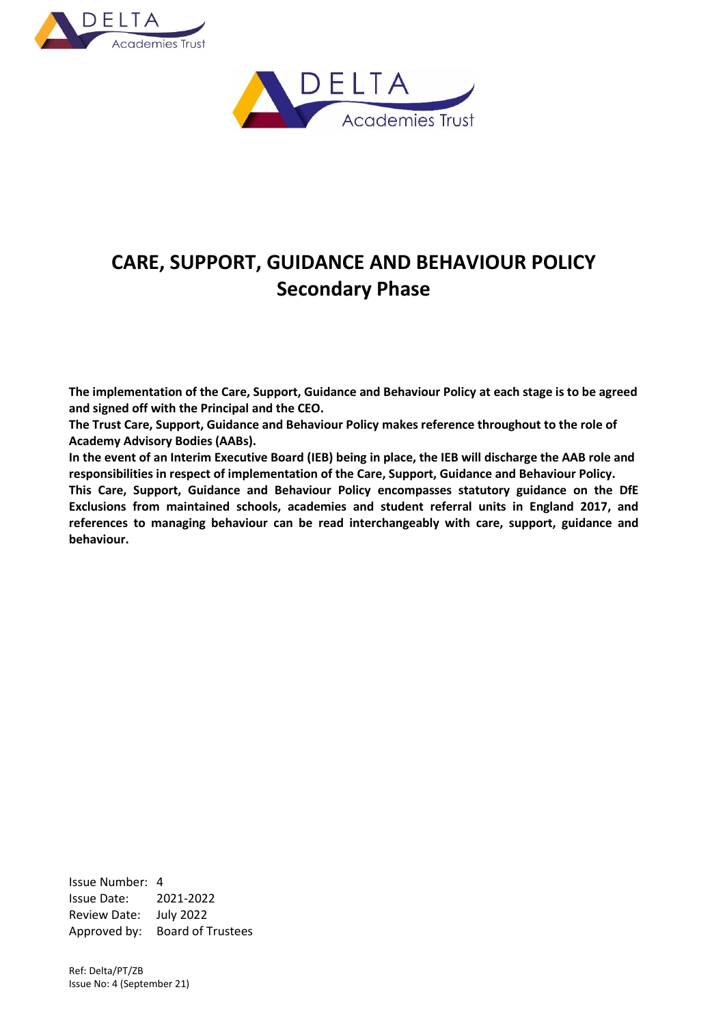



# **CARE, SUPPORT, GUIDANCE AND BEHAVIOUR POLICY Secondary Phase**

**The implementation of the Care, Support, Guidance and Behaviour Policy at each stage is to be agreed and signed off with the Principal and the CEO.**

**The Trust Care, Support, Guidance and Behaviour Policy makes reference throughout to the role of Academy Advisory Bodies (AABs).**

**In the event of an Interim Executive Board (IEB) being in place, the IEB will discharge the AAB role and responsibilities in respect of implementation of the Care, Support, Guidance and Behaviour Policy.**

**This Care, Support, Guidance and Behaviour Policy encompasses statutory guidance on the DfE Exclusions from maintained schools, academies and student referral units in England 2017, and references to managing behaviour can be read interchangeably with care, support, guidance and behaviour.**

Issue Number: 4 Issue Date: 2021-2022 Review Date: July 2022 Approved by: Board of Trustees

Ref: Delta/PT/ZB Issue No: 4 (September 21)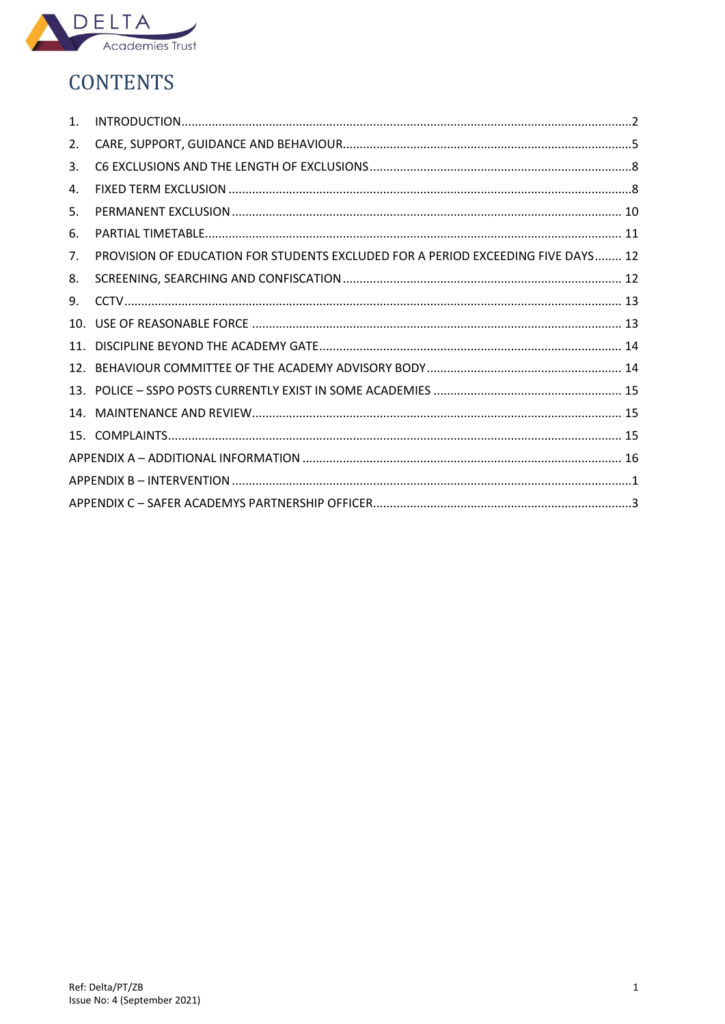

# **CONTENTS**

| $\mathbf{1}$ . |                                                                                  |  |  |  |  |  |  |
|----------------|----------------------------------------------------------------------------------|--|--|--|--|--|--|
| 2.             |                                                                                  |  |  |  |  |  |  |
| 3.             |                                                                                  |  |  |  |  |  |  |
| 4.             |                                                                                  |  |  |  |  |  |  |
| 5.             |                                                                                  |  |  |  |  |  |  |
| 6.             |                                                                                  |  |  |  |  |  |  |
| 7.             | PROVISION OF EDUCATION FOR STUDENTS EXCLUDED FOR A PERIOD EXCEEDING FIVE DAYS 12 |  |  |  |  |  |  |
| 8.             |                                                                                  |  |  |  |  |  |  |
| 9.             |                                                                                  |  |  |  |  |  |  |
|                |                                                                                  |  |  |  |  |  |  |
|                |                                                                                  |  |  |  |  |  |  |
|                |                                                                                  |  |  |  |  |  |  |
|                |                                                                                  |  |  |  |  |  |  |
|                |                                                                                  |  |  |  |  |  |  |
|                |                                                                                  |  |  |  |  |  |  |
|                |                                                                                  |  |  |  |  |  |  |
|                |                                                                                  |  |  |  |  |  |  |
|                |                                                                                  |  |  |  |  |  |  |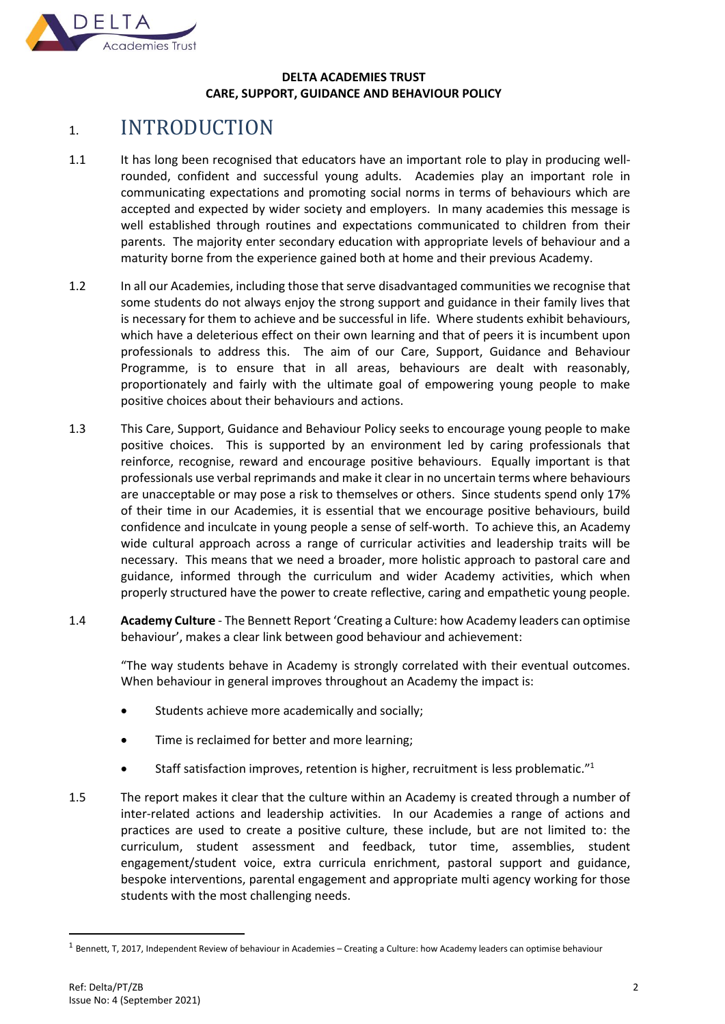

## **DELTA ACADEMIES TRUST CARE, SUPPORT, GUIDANCE AND BEHAVIOUR POLICY**

# <span id="page-2-0"></span>1. INTRODUCTION

- 1.1 It has long been recognised that educators have an important role to play in producing wellrounded, confident and successful young adults. Academies play an important role in communicating expectations and promoting social norms in terms of behaviours which are accepted and expected by wider society and employers. In many academies this message is well established through routines and expectations communicated to children from their parents. The majority enter secondary education with appropriate levels of behaviour and a maturity borne from the experience gained both at home and their previous Academy.
- 1.2 In all our Academies, including those that serve disadvantaged communities we recognise that some students do not always enjoy the strong support and guidance in their family lives that is necessary for them to achieve and be successful in life. Where students exhibit behaviours, which have a deleterious effect on their own learning and that of peers it is incumbent upon professionals to address this. The aim of our Care, Support, Guidance and Behaviour Programme, is to ensure that in all areas, behaviours are dealt with reasonably, proportionately and fairly with the ultimate goal of empowering young people to make positive choices about their behaviours and actions.
- 1.3 This Care, Support, Guidance and Behaviour Policy seeks to encourage young people to make positive choices. This is supported by an environment led by caring professionals that reinforce, recognise, reward and encourage positive behaviours. Equally important is that professionals use verbal reprimands and make it clear in no uncertain terms where behaviours are unacceptable or may pose a risk to themselves or others. Since students spend only 17% of their time in our Academies, it is essential that we encourage positive behaviours, build confidence and inculcate in young people a sense of self-worth. To achieve this, an Academy wide cultural approach across a range of curricular activities and leadership traits will be necessary. This means that we need a broader, more holistic approach to pastoral care and guidance, informed through the curriculum and wider Academy activities, which when properly structured have the power to create reflective, caring and empathetic young people.
- 1.4 **Academy Culture** The Bennett Report 'Creating a Culture: how Academy leaders can optimise behaviour', makes a clear link between good behaviour and achievement:

"The way students behave in Academy is strongly correlated with their eventual outcomes. When behaviour in general improves throughout an Academy the impact is:

- Students achieve more academically and socially;
- Time is reclaimed for better and more learning:
- Staff satisfaction improves, retention is higher, recruitment is less problematic."<sup>1</sup>
- 1.5 The report makes it clear that the culture within an Academy is created through a number of inter-related actions and leadership activities. In our Academies a range of actions and practices are used to create a positive culture, these include, but are not limited to: the curriculum, student assessment and feedback, tutor time, assemblies, student engagement/student voice, extra curricula enrichment, pastoral support and guidance, bespoke interventions, parental engagement and appropriate multi agency working for those students with the most challenging needs.

 $^1$  Bennett, T, 2017, Independent Review of behaviour in Academies – Creating a Culture: how Academy leaders can optimise behaviour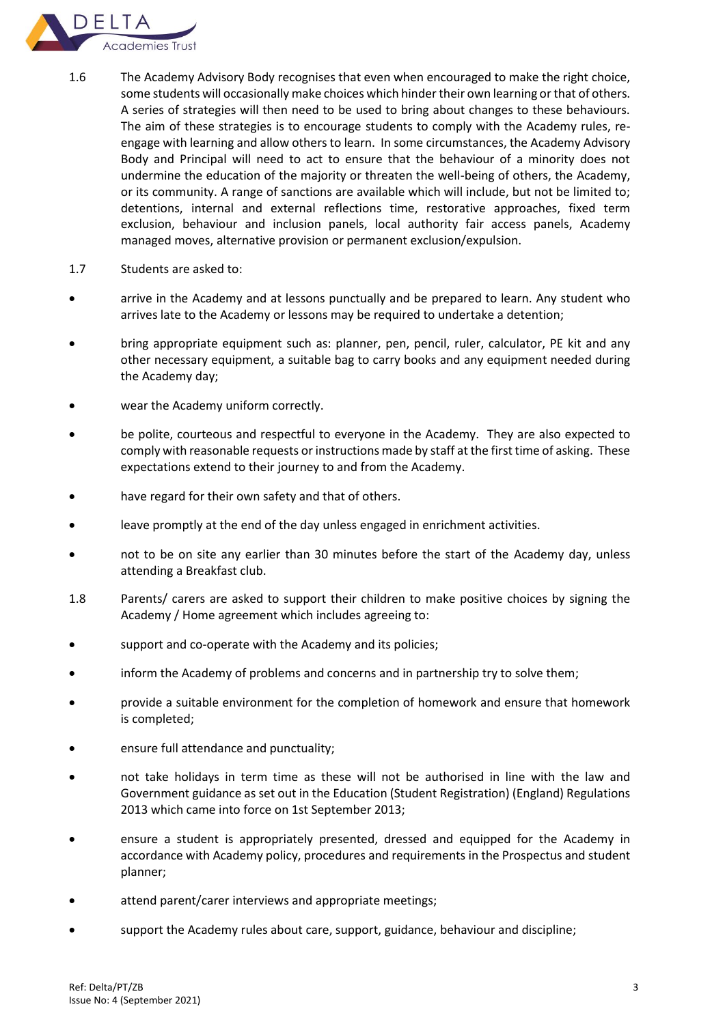

- 1.6 The Academy Advisory Body recognises that even when encouraged to make the right choice, some students will occasionally make choices which hinder their own learning or that of others. A series of strategies will then need to be used to bring about changes to these behaviours. The aim of these strategies is to encourage students to comply with the Academy rules, reengage with learning and allow others to learn. In some circumstances, the Academy Advisory Body and Principal will need to act to ensure that the behaviour of a minority does not undermine the education of the majority or threaten the well-being of others, the Academy, or its community. A range of sanctions are available which will include, but not be limited to; detentions, internal and external reflections time, restorative approaches, fixed term exclusion, behaviour and inclusion panels, local authority fair access panels, Academy managed moves, alternative provision or permanent exclusion/expulsion.
- 1.7 Students are asked to:
- arrive in the Academy and at lessons punctually and be prepared to learn. Any student who arrives late to the Academy or lessons may be required to undertake a detention;
- bring appropriate equipment such as: planner, pen, pencil, ruler, calculator, PE kit and any other necessary equipment, a suitable bag to carry books and any equipment needed during the Academy day;
- wear the Academy uniform correctly.
- be polite, courteous and respectful to everyone in the Academy. They are also expected to comply with reasonable requests or instructions made by staff at the first time of asking. These expectations extend to their journey to and from the Academy.
- have regard for their own safety and that of others.
- leave promptly at the end of the day unless engaged in enrichment activities.
- not to be on site any earlier than 30 minutes before the start of the Academy day, unless attending a Breakfast club.
- 1.8 Parents/ carers are asked to support their children to make positive choices by signing the Academy / Home agreement which includes agreeing to:
- support and co-operate with the Academy and its policies;
- inform the Academy of problems and concerns and in partnership try to solve them;
- provide a suitable environment for the completion of homework and ensure that homework is completed;
- ensure full attendance and punctuality;
- not take holidays in term time as these will not be authorised in line with the law and Government guidance as set out in the Education (Student Registration) (England) Regulations 2013 which came into force on 1st September 2013;
- ensure a student is appropriately presented, dressed and equipped for the Academy in accordance with Academy policy, procedures and requirements in the Prospectus and student planner;
- attend parent/carer interviews and appropriate meetings;
- support the Academy rules about care, support, guidance, behaviour and discipline;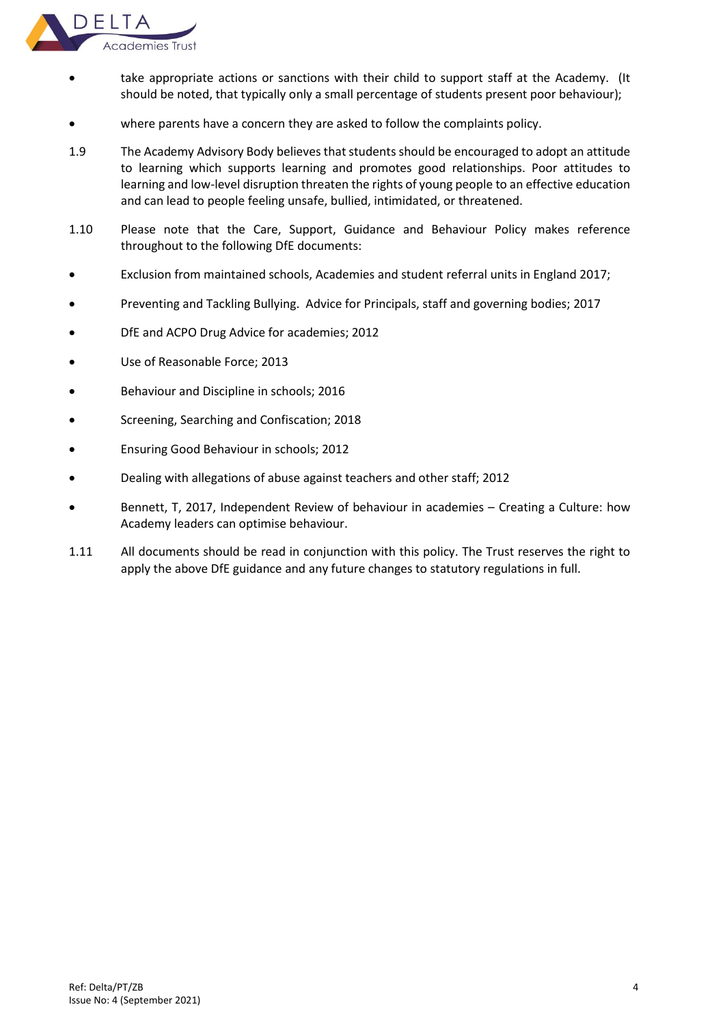

- take appropriate actions or sanctions with their child to support staff at the Academy. (It should be noted, that typically only a small percentage of students present poor behaviour);
- where parents have a concern they are asked to follow the complaints policy.
- 1.9 The Academy Advisory Body believes that students should be encouraged to adopt an attitude to learning which supports learning and promotes good relationships. Poor attitudes to learning and low-level disruption threaten the rights of young people to an effective education and can lead to people feeling unsafe, bullied, intimidated, or threatened.
- 1.10 Please note that the Care, Support, Guidance and Behaviour Policy makes reference throughout to the following DfE documents:
- Exclusion from maintained schools, Academies and student referral units in England 2017;
- Preventing and Tackling Bullying. Advice for Principals, staff and governing bodies; 2017
- DfE and ACPO Drug Advice for academies; 2012
- Use of Reasonable Force; 2013
- Behaviour and Discipline in schools; 2016
- Screening, Searching and Confiscation; 2018
- Ensuring Good Behaviour in schools; 2012
- Dealing with allegations of abuse against teachers and other staff; 2012
- Bennett, T, 2017, Independent Review of behaviour in academies Creating a Culture: how Academy leaders can optimise behaviour.
- 1.11 All documents should be read in conjunction with this policy. The Trust reserves the right to apply the above DfE guidance and any future changes to statutory regulations in full.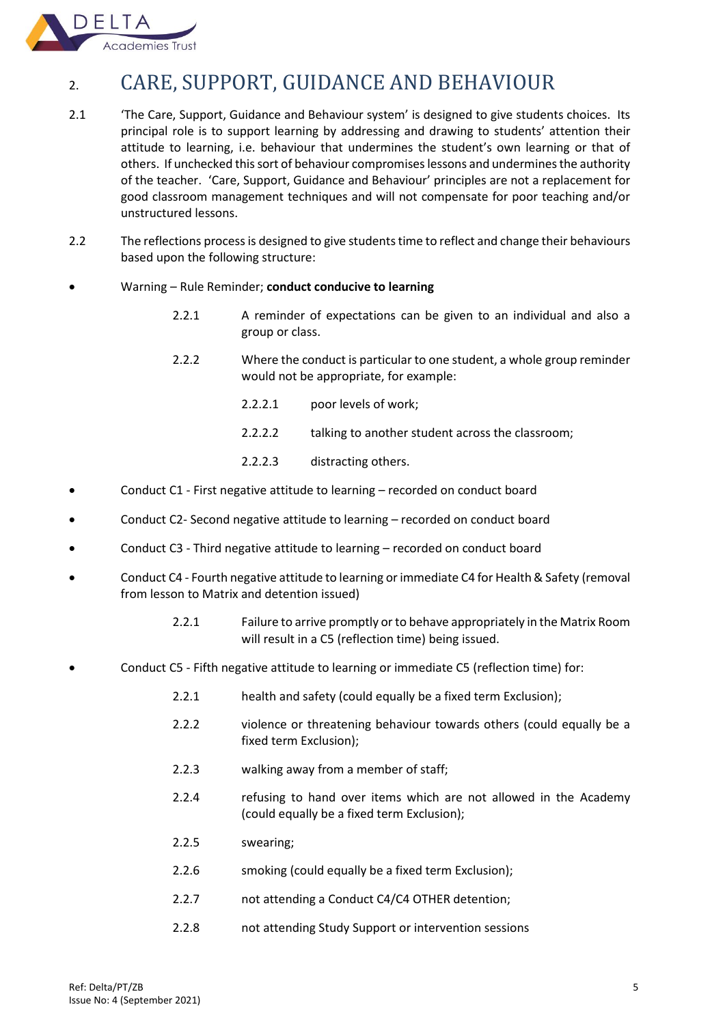

# <span id="page-5-0"></span>2. CARE, SUPPORT, GUIDANCE AND BEHAVIOUR

- 2.1 'The Care, Support, Guidance and Behaviour system' is designed to give students choices. Its principal role is to support learning by addressing and drawing to students' attention their attitude to learning, i.e. behaviour that undermines the student's own learning or that of others. If unchecked this sort of behaviour compromises lessons and undermines the authority of the teacher. 'Care, Support, Guidance and Behaviour' principles are not a replacement for good classroom management techniques and will not compensate for poor teaching and/or unstructured lessons.
- 2.2 The reflections process is designed to give students time to reflect and change their behaviours based upon the following structure:
- Warning Rule Reminder; **conduct conducive to learning**
	- 2.2.1 A reminder of expectations can be given to an individual and also a group or class.
	- 2.2.2 Where the conduct is particular to one student, a whole group reminder would not be appropriate, for example:
		- 2.2.2.1 poor levels of work;
		- 2.2.2.2 talking to another student across the classroom;
		- 2.2.2.3 distracting others.
- Conduct C1 First negative attitude to learning recorded on conduct board
- Conduct C2- Second negative attitude to learning recorded on conduct board
- Conduct C3 Third negative attitude to learning recorded on conduct board
- Conduct C4 Fourth negative attitude to learning or immediate C4 for Health & Safety (removal from lesson to Matrix and detention issued)
	- 2.2.1 Failure to arrive promptly or to behave appropriately in the Matrix Room will result in a C5 (reflection time) being issued.
- Conduct C5 Fifth negative attitude to learning or immediate C5 (reflection time) for:
	- 2.2.1 health and safety (could equally be a fixed term Exclusion);
	- 2.2.2 violence or threatening behaviour towards others (could equally be a fixed term Exclusion);
	- 2.2.3 walking away from a member of staff;
	- 2.2.4 refusing to hand over items which are not allowed in the Academy (could equally be a fixed term Exclusion);
	- 2.2.5 swearing;
	- 2.2.6 smoking (could equally be a fixed term Exclusion);
	- 2.2.7 not attending a Conduct C4/C4 OTHER detention;
	- 2.2.8 not attending Study Support or intervention sessions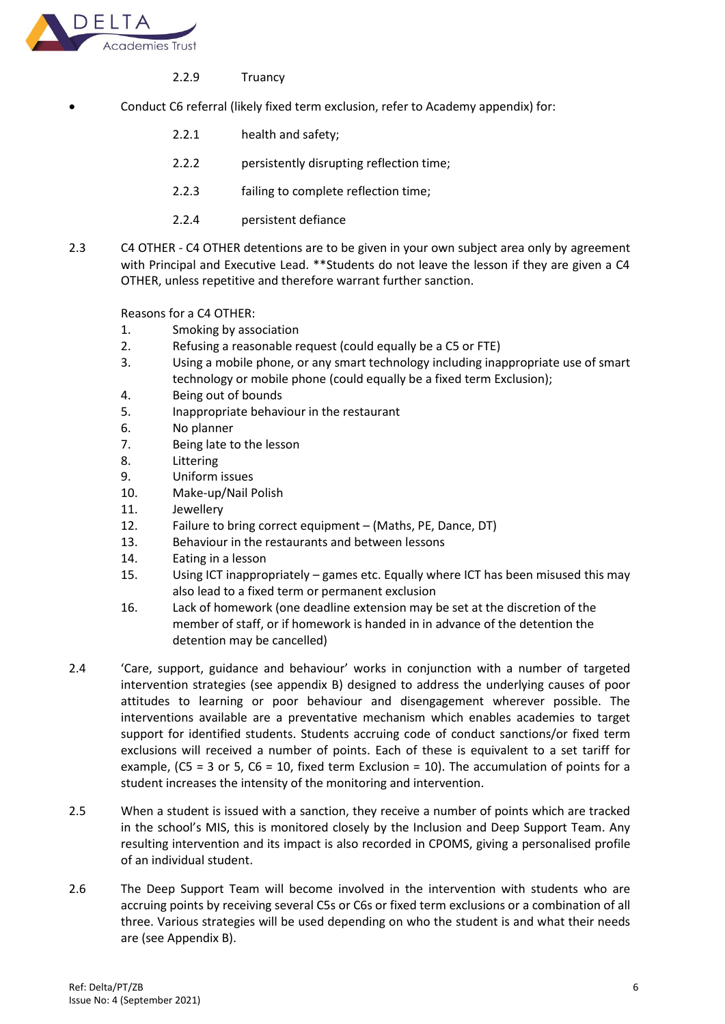

- 2.2.9 Truancy
- Conduct C6 referral (likely fixed term exclusion, refer to Academy appendix) for:
	- 2.2.1 health and safety;
	- 2.2.2 persistently disrupting reflection time;
	- 2.2.3 failing to complete reflection time;
	- 2.2.4 persistent defiance
- 2.3 C4 OTHER C4 OTHER detentions are to be given in your own subject area only by agreement with Principal and Executive Lead. \*\*Students do not leave the lesson if they are given a C4 OTHER, unless repetitive and therefore warrant further sanction.

Reasons for a C4 OTHER:

- 1. Smoking by association
- 2. Refusing a reasonable request (could equally be a C5 or FTE)
- 3. Using a mobile phone, or any smart technology including inappropriate use of smart technology or mobile phone (could equally be a fixed term Exclusion);
- 4. Being out of bounds
- 5. Inappropriate behaviour in the restaurant
- 6. No planner
- 7. Being late to the lesson
- 8. Littering
- 9. Uniform issues
- 10. Make-up/Nail Polish
- 11. Jewellery
- 12. Failure to bring correct equipment (Maths, PE, Dance, DT)
- 13. Behaviour in the restaurants and between lessons
- 14. Eating in a lesson
- 15. Using ICT inappropriately games etc. Equally where ICT has been misused this may also lead to a fixed term or permanent exclusion
- 16. Lack of homework (one deadline extension may be set at the discretion of the member of staff, or if homework is handed in in advance of the detention the detention may be cancelled)
- 2.4 'Care, support, guidance and behaviour' works in conjunction with a number of targeted intervention strategies (see appendix B) designed to address the underlying causes of poor attitudes to learning or poor behaviour and disengagement wherever possible. The interventions available are a preventative mechanism which enables academies to target support for identified students. Students accruing code of conduct sanctions/or fixed term exclusions will received a number of points. Each of these is equivalent to a set tariff for example, (C5 = 3 or 5, C6 = 10, fixed term Exclusion = 10). The accumulation of points for a student increases the intensity of the monitoring and intervention.
- 2.5 When a student is issued with a sanction, they receive a number of points which are tracked in the school's MIS, this is monitored closely by the Inclusion and Deep Support Team. Any resulting intervention and its impact is also recorded in CPOMS, giving a personalised profile of an individual student.
- 2.6 The Deep Support Team will become involved in the intervention with students who are accruing points by receiving several C5s or C6s or fixed term exclusions or a combination of all three. Various strategies will be used depending on who the student is and what their needs are (see Appendix B).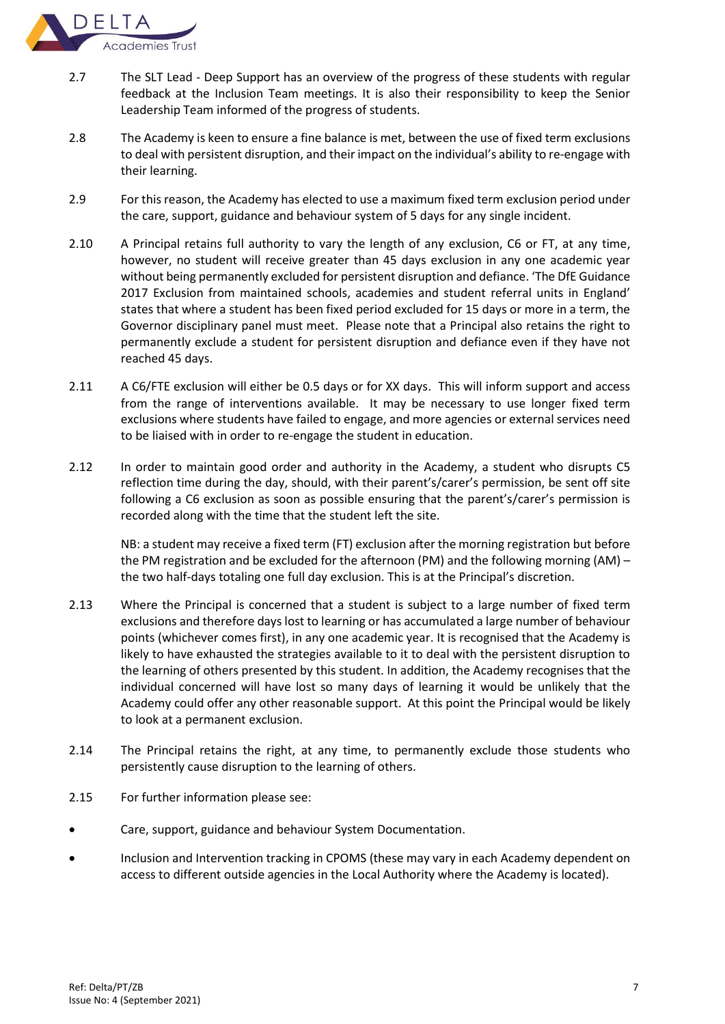

- 2.7 The SLT Lead Deep Support has an overview of the progress of these students with regular feedback at the Inclusion Team meetings. It is also their responsibility to keep the Senior Leadership Team informed of the progress of students.
- 2.8 The Academy is keen to ensure a fine balance is met, between the use of fixed term exclusions to deal with persistent disruption, and their impact on the individual's ability to re-engage with their learning.
- 2.9 For this reason, the Academy has elected to use a maximum fixed term exclusion period under the care, support, guidance and behaviour system of 5 days for any single incident.
- 2.10 A Principal retains full authority to vary the length of any exclusion, C6 or FT, at any time, however, no student will receive greater than 45 days exclusion in any one academic year without being permanently excluded for persistent disruption and defiance. 'The DfE Guidance 2017 Exclusion from maintained schools, academies and student referral units in England' states that where a student has been fixed period excluded for 15 days or more in a term, the Governor disciplinary panel must meet. Please note that a Principal also retains the right to permanently exclude a student for persistent disruption and defiance even if they have not reached 45 days.
- 2.11 A C6/FTE exclusion will either be 0.5 days or for XX days. This will inform support and access from the range of interventions available. It may be necessary to use longer fixed term exclusions where students have failed to engage, and more agencies or external services need to be liaised with in order to re-engage the student in education.
- 2.12 In order to maintain good order and authority in the Academy, a student who disrupts C5 reflection time during the day, should, with their parent's/carer's permission, be sent off site following a C6 exclusion as soon as possible ensuring that the parent's/carer's permission is recorded along with the time that the student left the site.

NB: a student may receive a fixed term (FT) exclusion after the morning registration but before the PM registration and be excluded for the afternoon (PM) and the following morning (AM) – the two half-days totaling one full day exclusion. This is at the Principal's discretion.

- 2.13 Where the Principal is concerned that a student is subject to a large number of fixed term exclusions and therefore days lost to learning or has accumulated a large number of behaviour points (whichever comes first), in any one academic year. It is recognised that the Academy is likely to have exhausted the strategies available to it to deal with the persistent disruption to the learning of others presented by this student. In addition, the Academy recognises that the individual concerned will have lost so many days of learning it would be unlikely that the Academy could offer any other reasonable support. At this point the Principal would be likely to look at a permanent exclusion.
- 2.14 The Principal retains the right, at any time, to permanently exclude those students who persistently cause disruption to the learning of others.
- 2.15 For further information please see:
- Care, support, guidance and behaviour System Documentation.
- Inclusion and Intervention tracking in CPOMS (these may vary in each Academy dependent on access to different outside agencies in the Local Authority where the Academy is located).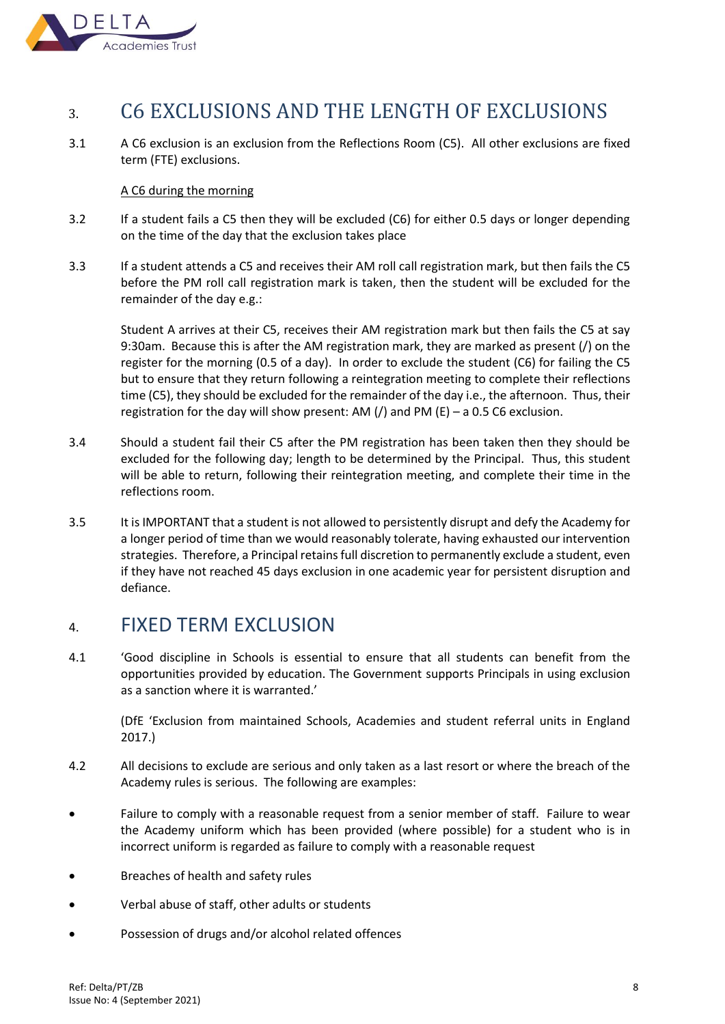

# <span id="page-8-0"></span>3. C6 EXCLUSIONS AND THE LENGTH OF EXCLUSIONS

3.1 A C6 exclusion is an exclusion from the Reflections Room (C5). All other exclusions are fixed term (FTE) exclusions.

## A C6 during the morning

- 3.2 If a student fails a C5 then they will be excluded (C6) for either 0.5 days or longer depending on the time of the day that the exclusion takes place
- 3.3 If a student attends a C5 and receives their AM roll call registration mark, but then fails the C5 before the PM roll call registration mark is taken, then the student will be excluded for the remainder of the day e.g.:

Student A arrives at their C5, receives their AM registration mark but then fails the C5 at say 9:30am. Because this is after the AM registration mark, they are marked as present (/) on the register for the morning (0.5 of a day). In order to exclude the student (C6) for failing the C5 but to ensure that they return following a reintegration meeting to complete their reflections time (C5), they should be excluded for the remainder of the day i.e., the afternoon. Thus, their registration for the day will show present: AM  $\left(\frac{\ }{\right)}$  and PM  $\left(\frac{\ }{\right)}$  – a 0.5 C6 exclusion.

- 3.4 Should a student fail their C5 after the PM registration has been taken then they should be excluded for the following day; length to be determined by the Principal. Thus, this student will be able to return, following their reintegration meeting, and complete their time in the reflections room.
- 3.5 It is IMPORTANT that a student is not allowed to persistently disrupt and defy the Academy for a longer period of time than we would reasonably tolerate, having exhausted our intervention strategies. Therefore, a Principal retains full discretion to permanently exclude a student, even if they have not reached 45 days exclusion in one academic year for persistent disruption and defiance.

# <span id="page-8-1"></span>4. FIXED TERM EXCLUSION

4.1 'Good discipline in Schools is essential to ensure that all students can benefit from the opportunities provided by education. The Government supports Principals in using exclusion as a sanction where it is warranted.'

(DfE 'Exclusion from maintained Schools, Academies and student referral units in England 2017.)

- 4.2 All decisions to exclude are serious and only taken as a last resort or where the breach of the Academy rules is serious. The following are examples:
- Failure to comply with a reasonable request from a senior member of staff. Failure to wear the Academy uniform which has been provided (where possible) for a student who is in incorrect uniform is regarded as failure to comply with a reasonable request
- Breaches of health and safety rules
- Verbal abuse of staff, other adults or students
- Possession of drugs and/or alcohol related offences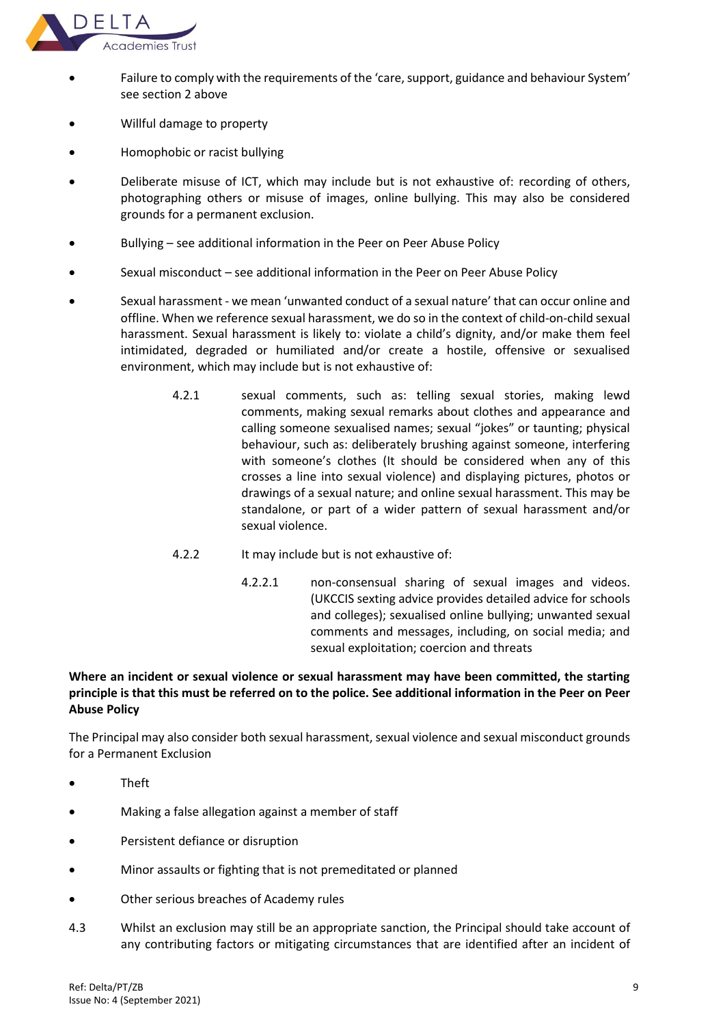

- Failure to comply with the requirements of the 'care, support, guidance and behaviour System' see section 2 above
- Willful damage to property
- Homophobic or racist bullying
- Deliberate misuse of ICT, which may include but is not exhaustive of: recording of others, photographing others or misuse of images, online bullying. This may also be considered grounds for a permanent exclusion.
- Bullying see additional information in the Peer on Peer Abuse Policy
- Sexual misconduct see additional information in the Peer on Peer Abuse Policy
- Sexual harassment we mean 'unwanted conduct of a sexual nature' that can occur online and offline. When we reference sexual harassment, we do so in the context of child-on-child sexual harassment. Sexual harassment is likely to: violate a child's dignity, and/or make them feel intimidated, degraded or humiliated and/or create a hostile, offensive or sexualised environment, which may include but is not exhaustive of:
	- 4.2.1 sexual comments, such as: telling sexual stories, making lewd comments, making sexual remarks about clothes and appearance and calling someone sexualised names; sexual "jokes" or taunting; physical behaviour, such as: deliberately brushing against someone, interfering with someone's clothes (It should be considered when any of this crosses a line into sexual violence) and displaying pictures, photos or drawings of a sexual nature; and online sexual harassment. This may be standalone, or part of a wider pattern of sexual harassment and/or sexual violence.
	- 4.2.2 It may include but is not exhaustive of:
		- 4.2.2.1 non-consensual sharing of sexual images and videos. (UKCCIS sexting advice provides detailed advice for schools and colleges); sexualised online bullying; unwanted sexual comments and messages, including, on social media; and sexual exploitation; coercion and threats

# **Where an incident or sexual violence or sexual harassment may have been committed, the starting principle is that this must be referred on to the police. See additional information in the Peer on Peer Abuse Policy**

The Principal may also consider both sexual harassment, sexual violence and sexual misconduct grounds for a Permanent Exclusion

- Theft
- Making a false allegation against a member of staff
- Persistent defiance or disruption
- Minor assaults or fighting that is not premeditated or planned
- Other serious breaches of Academy rules
- 4.3 Whilst an exclusion may still be an appropriate sanction, the Principal should take account of any contributing factors or mitigating circumstances that are identified after an incident of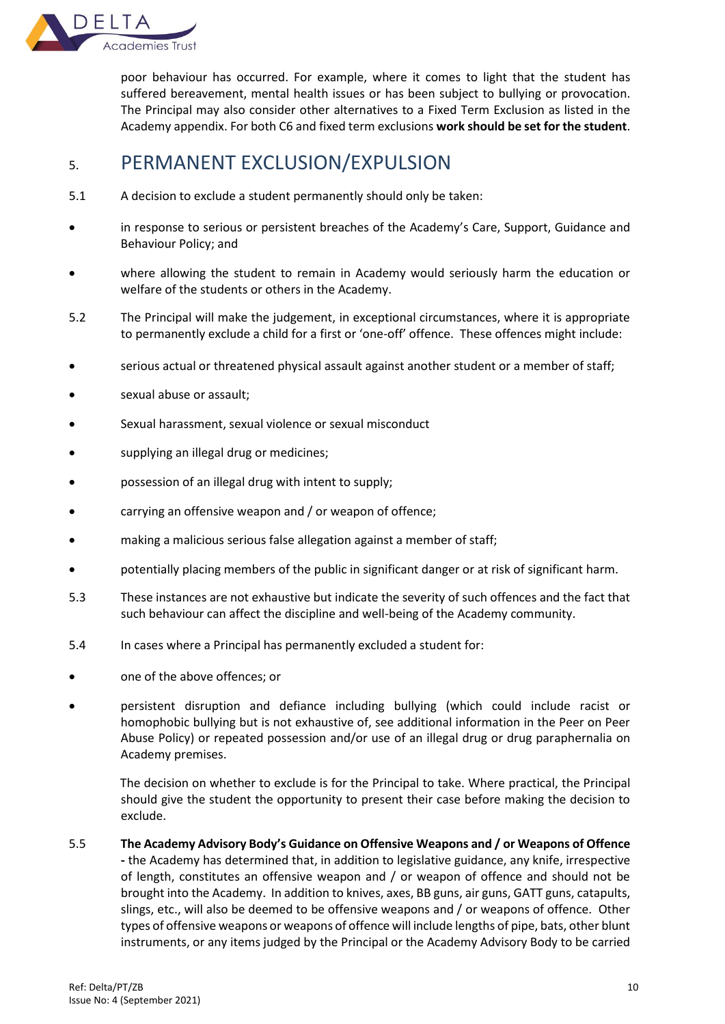

poor behaviour has occurred. For example, where it comes to light that the student has suffered bereavement, mental health issues or has been subject to bullying or provocation. The Principal may also consider other alternatives to a Fixed Term Exclusion as listed in the Academy appendix. For both C6 and fixed term exclusions **work should be set for the student**.

# <span id="page-10-0"></span>5. PERMANENT EXCLUSION/EXPULSION

- 5.1 A decision to exclude a student permanently should only be taken:
- in response to serious or persistent breaches of the Academy's Care, Support, Guidance and Behaviour Policy; and
- where allowing the student to remain in Academy would seriously harm the education or welfare of the students or others in the Academy.
- 5.2 The Principal will make the judgement, in exceptional circumstances, where it is appropriate to permanently exclude a child for a first or 'one-off' offence. These offences might include:
- serious actual or threatened physical assault against another student or a member of staff;
- sexual abuse or assault;
- Sexual harassment, sexual violence or sexual misconduct
- supplying an illegal drug or medicines;
- possession of an illegal drug with intent to supply;
- carrying an offensive weapon and / or weapon of offence;
- making a malicious serious false allegation against a member of staff;
- potentially placing members of the public in significant danger or at risk of significant harm.
- 5.3 These instances are not exhaustive but indicate the severity of such offences and the fact that such behaviour can affect the discipline and well-being of the Academy community.
- 5.4 In cases where a Principal has permanently excluded a student for:
- one of the above offences; or
- persistent disruption and defiance including bullying (which could include racist or homophobic bullying but is not exhaustive of, see additional information in the Peer on Peer Abuse Policy) or repeated possession and/or use of an illegal drug or drug paraphernalia on Academy premises.

 The decision on whether to exclude is for the Principal to take. Where practical, the Principal should give the student the opportunity to present their case before making the decision to exclude.

5.5 **The Academy Advisory Body's Guidance on Offensive Weapons and / or Weapons of Offence -** the Academy has determined that, in addition to legislative guidance, any knife, irrespective of length, constitutes an offensive weapon and / or weapon of offence and should not be brought into the Academy. In addition to knives, axes, BB guns, air guns, GATT guns, catapults, slings, etc., will also be deemed to be offensive weapons and / or weapons of offence. Other types of offensive weapons or weapons of offence will include lengths of pipe, bats, other blunt instruments, or any items judged by the Principal or the Academy Advisory Body to be carried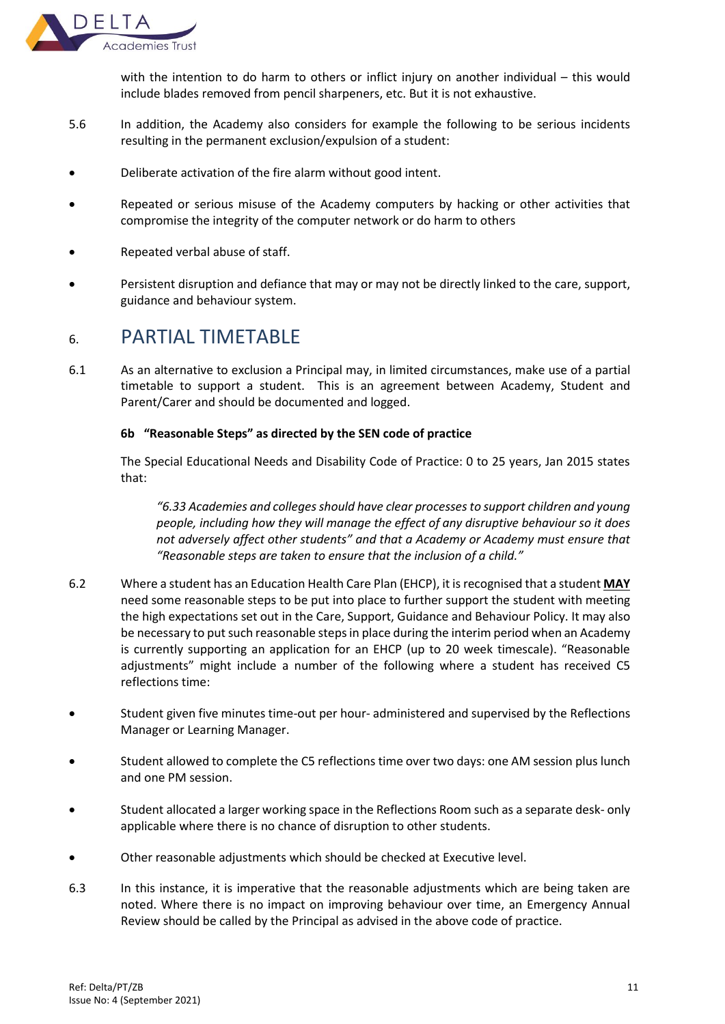

with the intention to do harm to others or inflict injury on another individual – this would include blades removed from pencil sharpeners, etc. But it is not exhaustive.

- 5.6 In addition, the Academy also considers for example the following to be serious incidents resulting in the permanent exclusion/expulsion of a student:
- Deliberate activation of the fire alarm without good intent.
- Repeated or serious misuse of the Academy computers by hacking or other activities that compromise the integrity of the computer network or do harm to others
- Repeated verbal abuse of staff.
- Persistent disruption and defiance that may or may not be directly linked to the care, support, guidance and behaviour system.

# <span id="page-11-0"></span>6. PARTIAL TIMETABLE

6.1 As an alternative to exclusion a Principal may, in limited circumstances, make use of a partial timetable to support a student. This is an agreement between Academy, Student and Parent/Carer and should be documented and logged.

# **6b "Reasonable Steps" as directed by the SEN code of practice**

The Special Educational Needs and Disability Code of Practice: 0 to 25 years, Jan 2015 states that:

*"6.33 Academies and colleges should have clear processes to support children and young people, including how they will manage the effect of any disruptive behaviour so it does not adversely affect other students" and that a Academy or Academy must ensure that "Reasonable steps are taken to ensure that the inclusion of a child."*

- 6.2 Where a student has an Education Health Care Plan (EHCP), it is recognised that a student **MAY** need some reasonable steps to be put into place to further support the student with meeting the high expectations set out in the Care, Support, Guidance and Behaviour Policy. It may also be necessary to put such reasonable steps in place during the interim period when an Academy is currently supporting an application for an EHCP (up to 20 week timescale). "Reasonable adjustments" might include a number of the following where a student has received C5 reflections time:
- Student given five minutes time-out per hour- administered and supervised by the Reflections Manager or Learning Manager.
- Student allowed to complete the C5 reflections time over two days: one AM session plus lunch and one PM session.
- Student allocated a larger working space in the Reflections Room such as a separate desk- only applicable where there is no chance of disruption to other students.
- Other reasonable adjustments which should be checked at Executive level.
- 6.3 In this instance, it is imperative that the reasonable adjustments which are being taken are noted. Where there is no impact on improving behaviour over time, an Emergency Annual Review should be called by the Principal as advised in the above code of practice.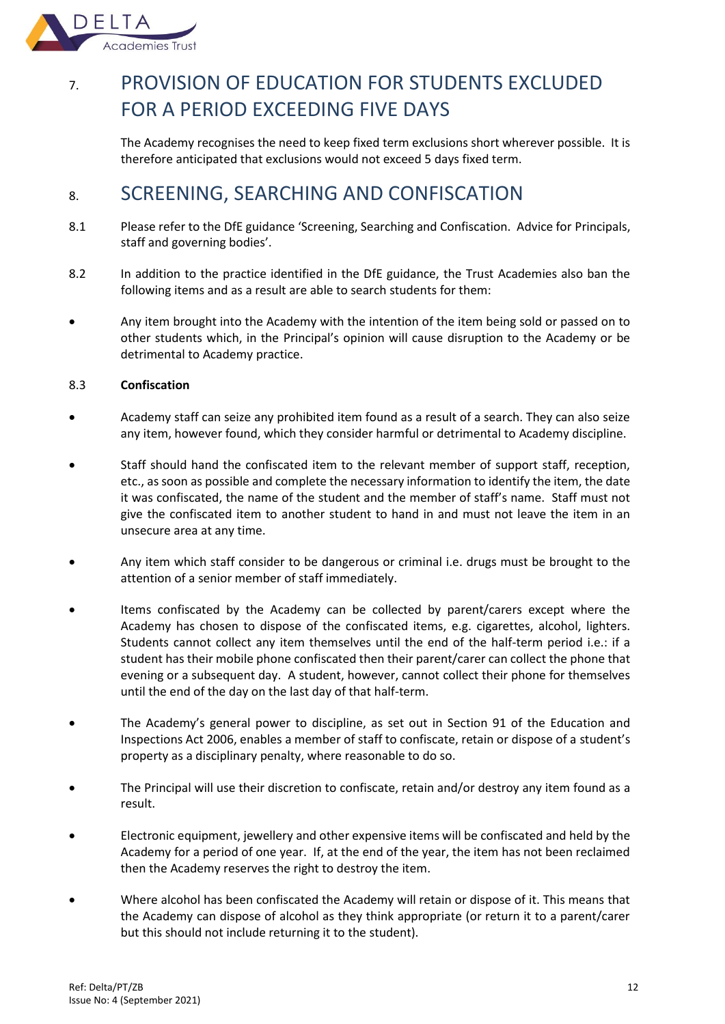

# <span id="page-12-0"></span>7. PROVISION OF EDUCATION FOR STUDENTS EXCLUDED FOR A PERIOD EXCEEDING FIVE DAYS

The Academy recognises the need to keep fixed term exclusions short wherever possible. It is therefore anticipated that exclusions would not exceed 5 days fixed term.

# <span id="page-12-1"></span>8. SCREENING, SEARCHING AND CONFISCATION

- 8.1 Please refer to the DfE guidance 'Screening, Searching and Confiscation. Advice for Principals, staff and governing bodies'.
- 8.2 In addition to the practice identified in the DfE guidance, the Trust Academies also ban the following items and as a result are able to search students for them:
- Any item brought into the Academy with the intention of the item being sold or passed on to other students which, in the Principal's opinion will cause disruption to the Academy or be detrimental to Academy practice.

# 8.3 **Confiscation**

- Academy staff can seize any prohibited item found as a result of a search. They can also seize any item, however found, which they consider harmful or detrimental to Academy discipline.
- Staff should hand the confiscated item to the relevant member of support staff, reception, etc., as soon as possible and complete the necessary information to identify the item, the date it was confiscated, the name of the student and the member of staff's name. Staff must not give the confiscated item to another student to hand in and must not leave the item in an unsecure area at any time.
- Any item which staff consider to be dangerous or criminal i.e. drugs must be brought to the attention of a senior member of staff immediately.
- Items confiscated by the Academy can be collected by parent/carers except where the Academy has chosen to dispose of the confiscated items, e.g. cigarettes, alcohol, lighters. Students cannot collect any item themselves until the end of the half-term period i.e.: if a student has their mobile phone confiscated then their parent/carer can collect the phone that evening or a subsequent day. A student, however, cannot collect their phone for themselves until the end of the day on the last day of that half-term.
- The Academy's general power to discipline, as set out in Section 91 of the Education and Inspections Act 2006, enables a member of staff to confiscate, retain or dispose of a student's property as a disciplinary penalty, where reasonable to do so.
- The Principal will use their discretion to confiscate, retain and/or destroy any item found as a result.
- Electronic equipment, jewellery and other expensive items will be confiscated and held by the Academy for a period of one year. If, at the end of the year, the item has not been reclaimed then the Academy reserves the right to destroy the item.
- Where alcohol has been confiscated the Academy will retain or dispose of it. This means that the Academy can dispose of alcohol as they think appropriate (or return it to a parent/carer but this should not include returning it to the student).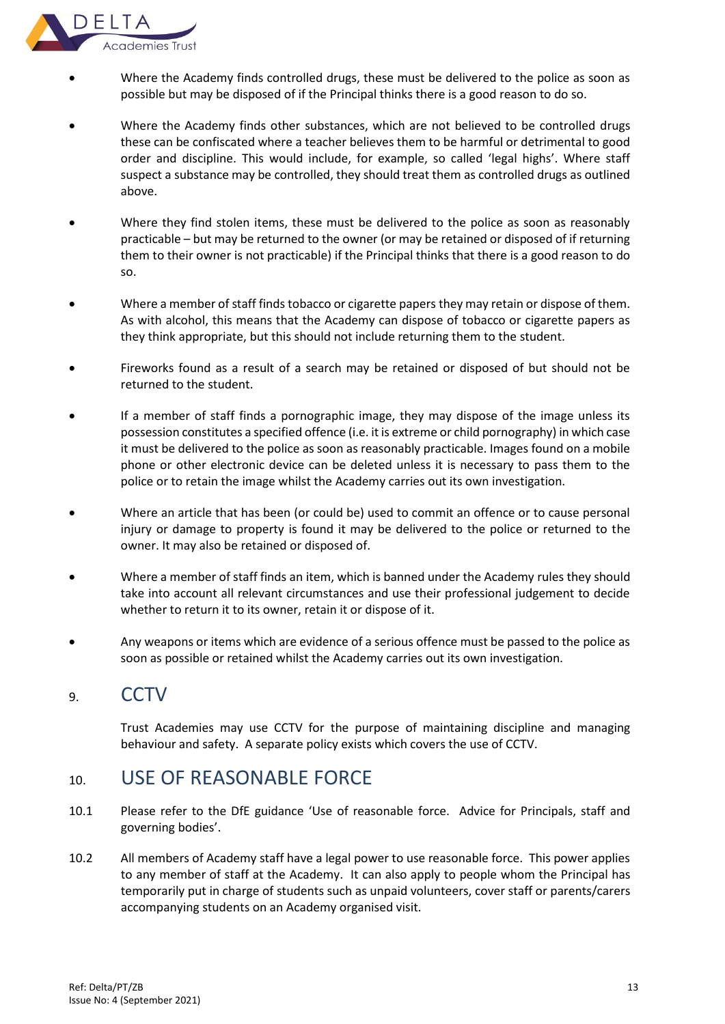

- Where the Academy finds controlled drugs, these must be delivered to the police as soon as possible but may be disposed of if the Principal thinks there is a good reason to do so.
- Where the Academy finds other substances, which are not believed to be controlled drugs these can be confiscated where a teacher believes them to be harmful or detrimental to good order and discipline. This would include, for example, so called 'legal highs'. Where staff suspect a substance may be controlled, they should treat them as controlled drugs as outlined above.
- Where they find stolen items, these must be delivered to the police as soon as reasonably practicable – but may be returned to the owner (or may be retained or disposed of if returning them to their owner is not practicable) if the Principal thinks that there is a good reason to do so.
- Where a member of staff finds tobacco or cigarette papers they may retain or dispose of them. As with alcohol, this means that the Academy can dispose of tobacco or cigarette papers as they think appropriate, but this should not include returning them to the student.
- Fireworks found as a result of a search may be retained or disposed of but should not be returned to the student.
- If a member of staff finds a pornographic image, they may dispose of the image unless its possession constitutes a specified offence (i.e. it is extreme or child pornography) in which case it must be delivered to the police as soon as reasonably practicable. Images found on a mobile phone or other electronic device can be deleted unless it is necessary to pass them to the police or to retain the image whilst the Academy carries out its own investigation.
- Where an article that has been (or could be) used to commit an offence or to cause personal injury or damage to property is found it may be delivered to the police or returned to the owner. It may also be retained or disposed of.
- Where a member of staff finds an item, which is banned under the Academy rules they should take into account all relevant circumstances and use their professional judgement to decide whether to return it to its owner, retain it or dispose of it.
- Any weapons or items which are evidence of a serious offence must be passed to the police as soon as possible or retained whilst the Academy carries out its own investigation.

# <span id="page-13-0"></span>9. CCTV

Trust Academies may use CCTV for the purpose of maintaining discipline and managing behaviour and safety. A separate policy exists which covers the use of CCTV.

# <span id="page-13-1"></span>10. USE OF REASONABLE FORCE

- 10.1 Please refer to the DfE guidance 'Use of reasonable force. Advice for Principals, staff and governing bodies'.
- 10.2 All members of Academy staff have a legal power to use reasonable force. This power applies to any member of staff at the Academy. It can also apply to people whom the Principal has temporarily put in charge of students such as unpaid volunteers, cover staff or parents/carers accompanying students on an Academy organised visit.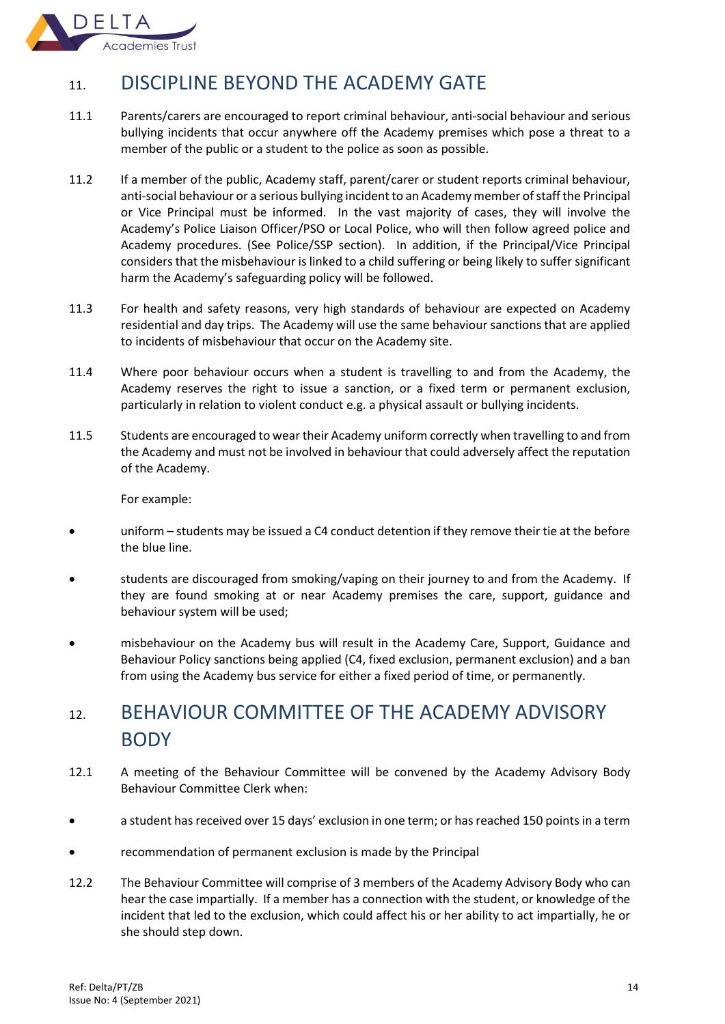

# <span id="page-14-0"></span>11. DISCIPLINE BEYOND THE ACADEMY GATE

- 11.1 Parents/carers are encouraged to report criminal behaviour, anti-social behaviour and serious bullying incidents that occur anywhere off the Academy premises which pose a threat to a member of the public or a student to the police as soon as possible.
- 11.2 If a member of the public, Academy staff, parent/carer or student reports criminal behaviour, anti-social behaviour or a serious bullying incident to an Academy member of staff the Principal or Vice Principal must be informed. In the vast majority of cases, they will involve the Academy's Police Liaison Officer/PSO or Local Police, who will then follow agreed police and Academy procedures. (See Police/SSP section). In addition, if the Principal/Vice Principal considers that the misbehaviour is linked to a child suffering or being likely to suffer significant harm the Academy's safeguarding policy will be followed.
- 11.3 For health and safety reasons, very high standards of behaviour are expected on Academy residential and day trips. The Academy will use the same behaviour sanctions that are applied to incidents of misbehaviour that occur on the Academy site.
- 11.4 Where poor behaviour occurs when a student is travelling to and from the Academy, the Academy reserves the right to issue a sanction, or a fixed term or permanent exclusion, particularly in relation to violent conduct e.g. a physical assault or bullying incidents.
- 11.5 Students are encouraged to wear their Academy uniform correctly when travelling to and from the Academy and must not be involved in behaviour that could adversely affect the reputation of the Academy.

For example:

- uniform students may be issued a C4 conduct detention if they remove their tie at the before the blue line.
- students are discouraged from smoking/vaping on their journey to and from the Academy. If they are found smoking at or near Academy premises the care, support, guidance and behaviour system will be used;
- misbehaviour on the Academy bus will result in the Academy Care, Support, Guidance and Behaviour Policy sanctions being applied (C4, fixed exclusion, permanent exclusion) and a ban from using the Academy bus service for either a fixed period of time, or permanently.

# <span id="page-14-1"></span>12. BEHAVIOUR COMMITTEE OF THE ACADEMY ADVISORY **BODY**

- 12.1 A meeting of the Behaviour Committee will be convened by the Academy Advisory Body Behaviour Committee Clerk when:
- a student has received over 15 days' exclusion in one term; or has reached 150 points in a term
- recommendation of permanent exclusion is made by the Principal
- 12.2 The Behaviour Committee will comprise of 3 members of the Academy Advisory Body who can hear the case impartially. If a member has a connection with the student, or knowledge of the incident that led to the exclusion, which could affect his or her ability to act impartially, he or she should step down.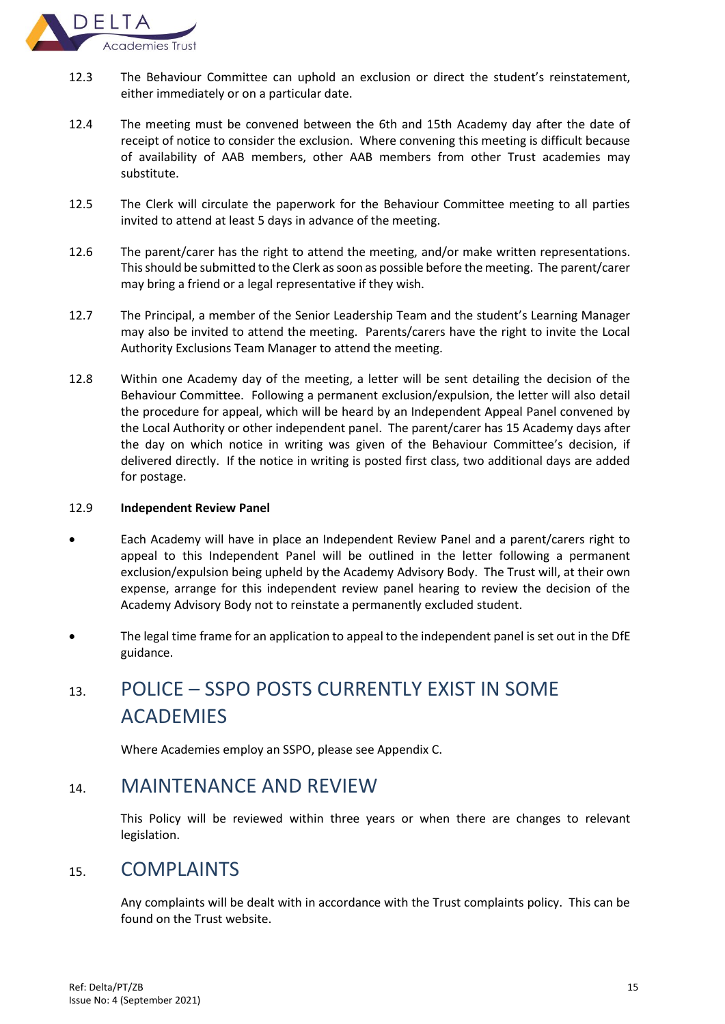

- 12.3 The Behaviour Committee can uphold an exclusion or direct the student's reinstatement, either immediately or on a particular date.
- 12.4 The meeting must be convened between the 6th and 15th Academy day after the date of receipt of notice to consider the exclusion. Where convening this meeting is difficult because of availability of AAB members, other AAB members from other Trust academies may substitute.
- 12.5 The Clerk will circulate the paperwork for the Behaviour Committee meeting to all parties invited to attend at least 5 days in advance of the meeting.
- 12.6 The parent/carer has the right to attend the meeting, and/or make written representations. This should be submitted to the Clerk as soon as possible before the meeting. The parent/carer may bring a friend or a legal representative if they wish.
- 12.7 The Principal, a member of the Senior Leadership Team and the student's Learning Manager may also be invited to attend the meeting. Parents/carers have the right to invite the Local Authority Exclusions Team Manager to attend the meeting.
- 12.8 Within one Academy day of the meeting, a letter will be sent detailing the decision of the Behaviour Committee. Following a permanent exclusion/expulsion, the letter will also detail the procedure for appeal, which will be heard by an Independent Appeal Panel convened by the Local Authority or other independent panel. The parent/carer has 15 Academy days after the day on which notice in writing was given of the Behaviour Committee's decision, if delivered directly. If the notice in writing is posted first class, two additional days are added for postage.

#### 12.9 **Independent Review Panel**

- Each Academy will have in place an Independent Review Panel and a parent/carers right to appeal to this Independent Panel will be outlined in the letter following a permanent exclusion/expulsion being upheld by the Academy Advisory Body. The Trust will, at their own expense, arrange for this independent review panel hearing to review the decision of the Academy Advisory Body not to reinstate a permanently excluded student.
- The legal time frame for an application to appeal to the independent panel is set out in the DfE guidance.

# <span id="page-15-0"></span>13. POLICE – SSPO POSTS CURRENTLY EXIST IN SOME ACADEMIES

Where Academies employ an SSPO, please see Appendix C.

# <span id="page-15-1"></span>14. MAINTENANCE AND REVIEW

This Policy will be reviewed within three years or when there are changes to relevant legislation.

# <span id="page-15-2"></span>15. COMPLAINTS

Any complaints will be dealt with in accordance with the Trust complaints policy. This can be found on the Trust website.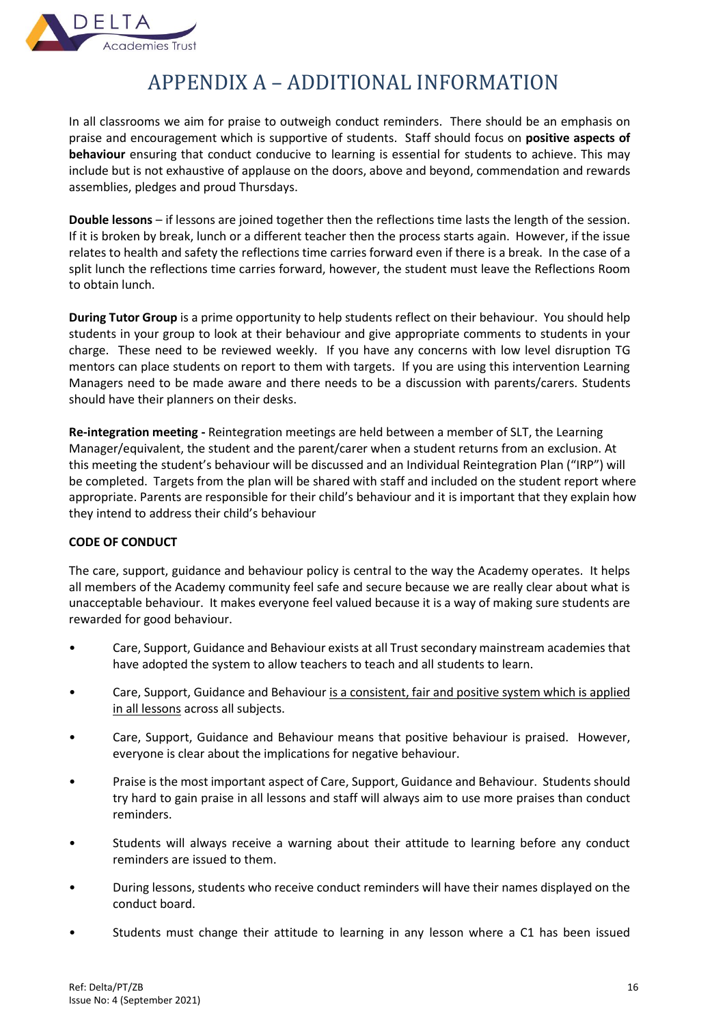

# APPENDIX A – ADDITIONAL INFORMATION

<span id="page-16-0"></span>In all classrooms we aim for praise to outweigh conduct reminders. There should be an emphasis on praise and encouragement which is supportive of students. Staff should focus on **positive aspects of behaviour** ensuring that conduct conducive to learning is essential for students to achieve. This may include but is not exhaustive of applause on the doors, above and beyond, commendation and rewards assemblies, pledges and proud Thursdays.

**Double lessons** – if lessons are joined together then the reflections time lasts the length of the session. If it is broken by break, lunch or a different teacher then the process starts again. However, if the issue relates to health and safety the reflections time carries forward even if there is a break. In the case of a split lunch the reflections time carries forward, however, the student must leave the Reflections Room to obtain lunch.

**During Tutor Group** is a prime opportunity to help students reflect on their behaviour. You should help students in your group to look at their behaviour and give appropriate comments to students in your charge. These need to be reviewed weekly. If you have any concerns with low level disruption TG mentors can place students on report to them with targets. If you are using this intervention Learning Managers need to be made aware and there needs to be a discussion with parents/carers. Students should have their planners on their desks.

**Re-integration meeting -** Reintegration meetings are held between a member of SLT, the Learning Manager/equivalent, the student and the parent/carer when a student returns from an exclusion. At this meeting the student's behaviour will be discussed and an Individual Reintegration Plan ("IRP") will be completed. Targets from the plan will be shared with staff and included on the student report where appropriate. Parents are responsible for their child's behaviour and it is important that they explain how they intend to address their child's behaviour

# **CODE OF CONDUCT**

The care, support, guidance and behaviour policy is central to the way the Academy operates. It helps all members of the Academy community feel safe and secure because we are really clear about what is unacceptable behaviour. It makes everyone feel valued because it is a way of making sure students are rewarded for good behaviour.

- Care, Support, Guidance and Behaviour exists at all Trust secondary mainstream academies that have adopted the system to allow teachers to teach and all students to learn.
- Care, Support, Guidance and Behaviour is a consistent, fair and positive system which is applied in all lessons across all subjects.
- Care, Support, Guidance and Behaviour means that positive behaviour is praised. However, everyone is clear about the implications for negative behaviour.
- Praise is the most important aspect of Care, Support, Guidance and Behaviour. Students should try hard to gain praise in all lessons and staff will always aim to use more praises than conduct reminders.
- Students will always receive a warning about their attitude to learning before any conduct reminders are issued to them.
- During lessons, students who receive conduct reminders will have their names displayed on the conduct board.
- Students must change their attitude to learning in any lesson where a C1 has been issued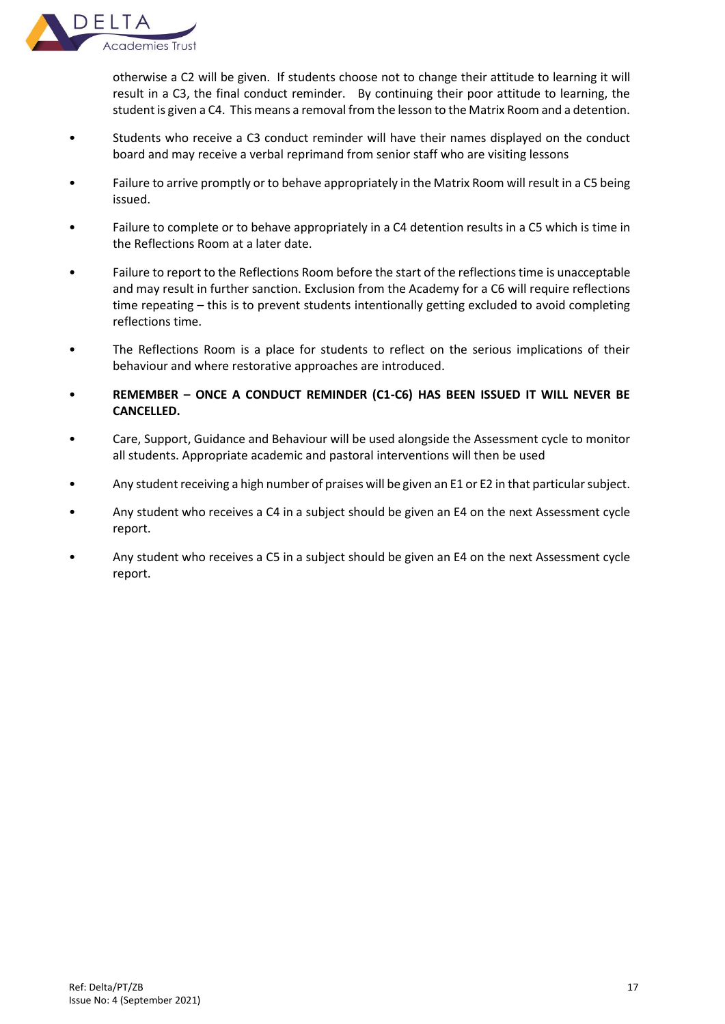

otherwise a C2 will be given. If students choose not to change their attitude to learning it will result in a C3, the final conduct reminder. By continuing their poor attitude to learning, the student is given a C4. This means a removal from the lesson to the Matrix Room and a detention.

- Students who receive a C3 conduct reminder will have their names displayed on the conduct board and may receive a verbal reprimand from senior staff who are visiting lessons
- Failure to arrive promptly or to behave appropriately in the Matrix Room will result in a C5 being issued.
- Failure to complete or to behave appropriately in a C4 detention results in a C5 which is time in the Reflections Room at a later date.
- Failure to report to the Reflections Room before the start of the reflections time is unacceptable and may result in further sanction. Exclusion from the Academy for a C6 will require reflections time repeating – this is to prevent students intentionally getting excluded to avoid completing reflections time.
- The Reflections Room is a place for students to reflect on the serious implications of their behaviour and where restorative approaches are introduced.
- **REMEMBER – ONCE A CONDUCT REMINDER (C1-C6) HAS BEEN ISSUED IT WILL NEVER BE CANCELLED.**
- Care, Support, Guidance and Behaviour will be used alongside the Assessment cycle to monitor all students. Appropriate academic and pastoral interventions will then be used
- Any student receiving a high number of praises will be given an E1 or E2 in that particular subject.
- Any student who receives a C4 in a subject should be given an E4 on the next Assessment cycle report.
- Any student who receives a C5 in a subject should be given an E4 on the next Assessment cycle report.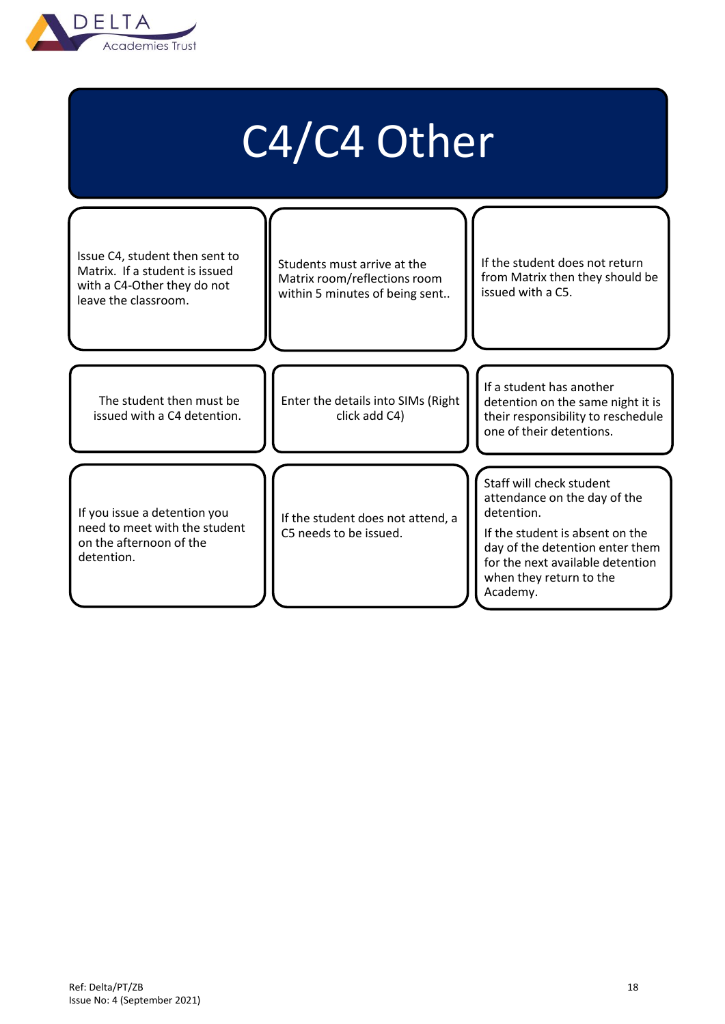

# C4/C4 Other

Issue C4, student then sent to Matrix. If a student is issued with a C4-Other they do not leave the classroom. The student then must be issued with a C4 detention. If you issue a detention you need to meet with the student on the afternoon of the detention. Enter the details into SIMs (Right click add C4) If the student does not attend, a C5 needs to be issued. Students must arrive at the Matrix room/reflections room within 5 minutes of being sent.. If the student does not return from Matrix then they should be issued with a C5. If a student has another detention on the same night it is their responsibility to reschedule one of their detentions. Staff will check student attendance on the day of the detention. If the student is absent on the day of the detention enter them for the next available detention when they return to the Academy.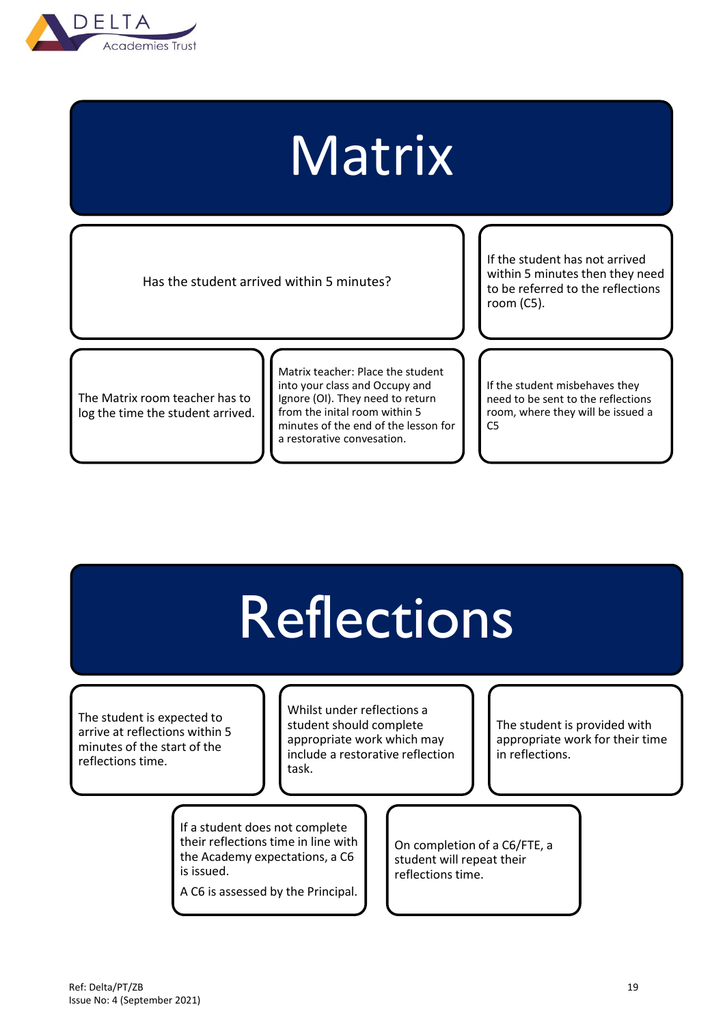

# Matrix

Has the student arrived within 5 minutes?

If the student has not arrived within 5 minutes then they need to be referred to the reflections room (C5).

The Matrix room teacher has to log the time the student arrived. Matrix teacher: Place the student into your class and Occupy and Ignore (OI). They need to return from the inital room within 5 minutes of the end of the lesson for a restorative convesation.

If the student misbehaves they need to be sent to the reflections room, where they will be issued a  $C<sub>5</sub>$ 

# **Reflections**

The student is expected to arrive at reflections within 5 minutes of the start of the reflections time.

Whilst under reflections a student should complete appropriate work which may include a restorative reflection task.

The student is provided with appropriate work for their time in reflections.

If a student does not complete their reflections time in line with the Academy expectations, a C6 is issued.

A C6 is assessed by the Principal.

On completion of a C6/FTE, a student will repeat their reflections time.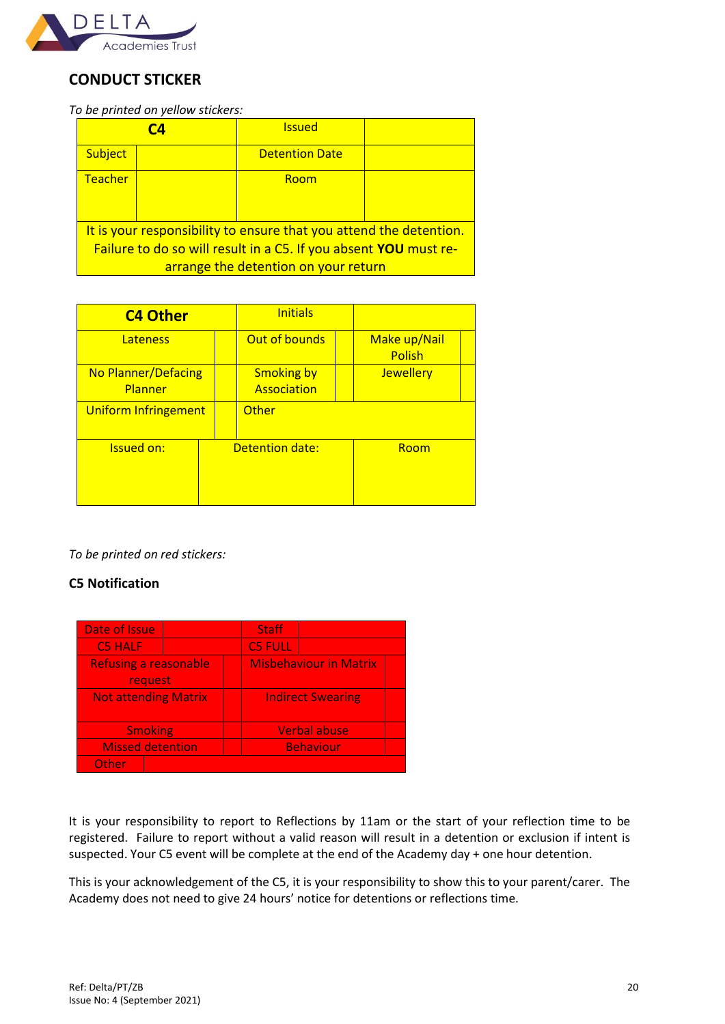

# **CONDUCT STICKER**

*To be printed on yellow stickers:*

|                                                                    | CД | <b>Issued</b>         |  |  |  |  |  |
|--------------------------------------------------------------------|----|-----------------------|--|--|--|--|--|
| Subject                                                            |    | <b>Detention Date</b> |  |  |  |  |  |
| Teacher                                                            |    | Room                  |  |  |  |  |  |
| It is your responsibility to ensure that you attend the detention. |    |                       |  |  |  |  |  |
| Failure to do so will result in a C5. If you absent YOU must re-   |    |                       |  |  |  |  |  |
| arrange the detention on your return                               |    |                       |  |  |  |  |  |

| <b>C4 Other</b>                       | <b>Initials</b>                  |                        |
|---------------------------------------|----------------------------------|------------------------|
| <b>Lateness</b>                       | Out of bounds                    | Make up/Nail<br>Polish |
| <b>No Planner/Defacing</b><br>Planner | <b>Smoking by</b><br>Association | <b>Jewellery</b>       |
| Uniform Infringement                  | Other                            |                        |
| <b>Issued on:</b>                     | Detention date:                  | Room                   |

*To be printed on red stickers:*

# **C5 Notification**

| Date of Issue               |                              |  | <b>Staff</b>                  |                  |  |
|-----------------------------|------------------------------|--|-------------------------------|------------------|--|
| <b>C5 HALF</b>              |                              |  | <b>C5 FULL</b>                |                  |  |
|                             | <b>Refusing a reasonable</b> |  | <b>Misbehaviour in Matrix</b> |                  |  |
| request                     |                              |  |                               |                  |  |
| <b>Not attending Matrix</b> |                              |  | <b>Indirect Swearing</b>      |                  |  |
|                             |                              |  |                               |                  |  |
| <b>Smoking</b>              |                              |  | <b>Verbal abuse</b>           |                  |  |
| <b>Missed detention</b>     |                              |  |                               | <b>Behaviour</b> |  |
| Other                       |                              |  |                               |                  |  |

It is your responsibility to report to Reflections by 11am or the start of your reflection time to be registered. Failure to report without a valid reason will result in a detention or exclusion if intent is suspected. Your C5 event will be complete at the end of the Academy day + one hour detention.

This is your acknowledgement of the C5, it is your responsibility to show this to your parent/carer. The Academy does not need to give 24 hours' notice for detentions or reflections time.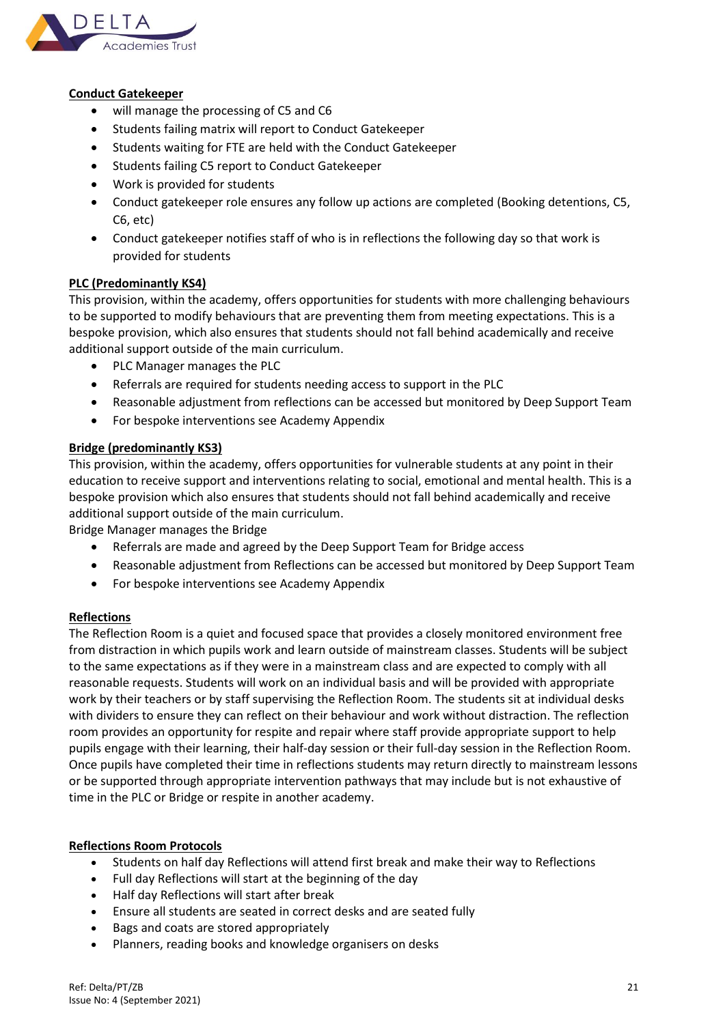

## **Conduct Gatekeeper**

- will manage the processing of C5 and C6
- Students failing matrix will report to Conduct Gatekeeper
- Students waiting for FTE are held with the Conduct Gatekeeper
- Students failing C5 report to Conduct Gatekeeper
- Work is provided for students
- Conduct gatekeeper role ensures any follow up actions are completed (Booking detentions, C5, C6, etc)
- Conduct gatekeeper notifies staff of who is in reflections the following day so that work is provided for students

## **PLC (Predominantly KS4)**

This provision, within the academy, offers opportunities for students with more challenging behaviours to be supported to modify behaviours that are preventing them from meeting expectations. This is a bespoke provision, which also ensures that students should not fall behind academically and receive additional support outside of the main curriculum.

- PLC Manager manages the PLC
- Referrals are required for students needing access to support in the PLC
- Reasonable adjustment from reflections can be accessed but monitored by Deep Support Team
- For bespoke interventions see Academy Appendix

## **Bridge (predominantly KS3)**

This provision, within the academy, offers opportunities for vulnerable students at any point in their education to receive support and interventions relating to social, emotional and mental health. This is a bespoke provision which also ensures that students should not fall behind academically and receive additional support outside of the main curriculum.

Bridge Manager manages the Bridge

- Referrals are made and agreed by the Deep Support Team for Bridge access
- Reasonable adjustment from Reflections can be accessed but monitored by Deep Support Team
- For bespoke interventions see Academy Appendix

## **Reflections**

The Reflection Room is a quiet and focused space that provides a closely monitored environment free from distraction in which pupils work and learn outside of mainstream classes. Students will be subject to the same expectations as if they were in a mainstream class and are expected to comply with all reasonable requests. Students will work on an individual basis and will be provided with appropriate work by their teachers or by staff supervising the Reflection Room. The students sit at individual desks with dividers to ensure they can reflect on their behaviour and work without distraction. The reflection room provides an opportunity for respite and repair where staff provide appropriate support to help pupils engage with their learning, their half-day session or their full-day session in the Reflection Room. Once pupils have completed their time in reflections students may return directly to mainstream lessons or be supported through appropriate intervention pathways that may include but is not exhaustive of time in the PLC or Bridge or respite in another academy.

## **Reflections Room Protocols**

- Students on half day Reflections will attend first break and make their way to Reflections
- Full day Reflections will start at the beginning of the day
- Half day Reflections will start after break
- Ensure all students are seated in correct desks and are seated fully
- Bags and coats are stored appropriately
- Planners, reading books and knowledge organisers on desks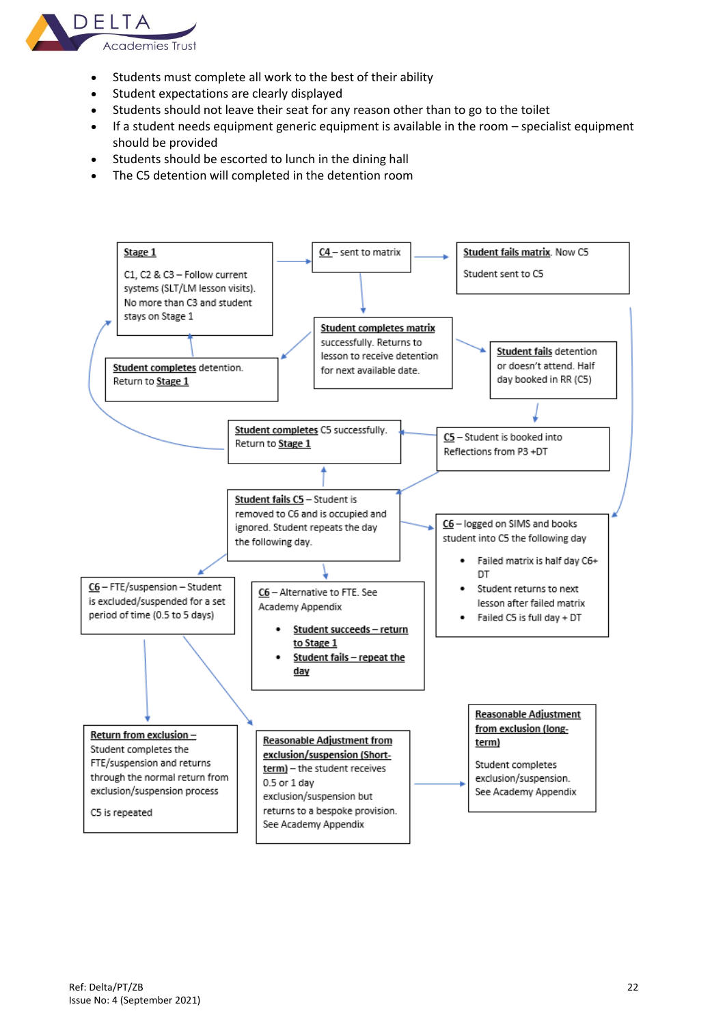

- Students must complete all work to the best of their ability
- Student expectations are clearly displayed
- Students should not leave their seat for any reason other than to go to the toilet
- If a student needs equipment generic equipment is available in the room specialist equipment should be provided
- Students should be escorted to lunch in the dining hall
- The C5 detention will completed in the detention room

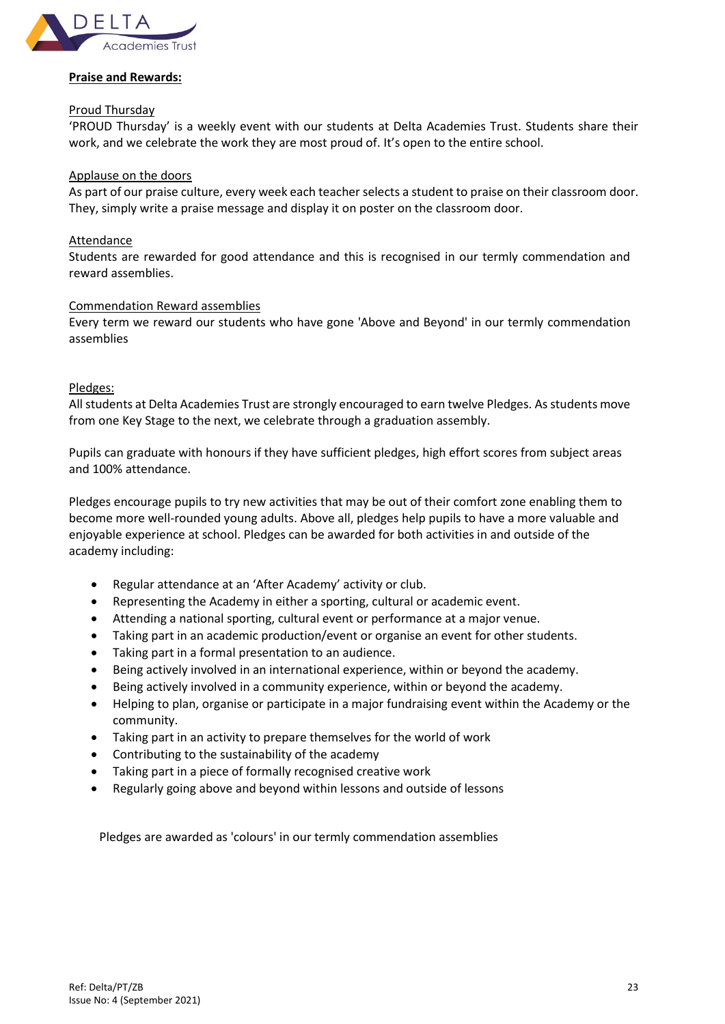

## **Praise and Rewards:**

#### Proud Thursday

'PROUD Thursday' is a weekly event with our students at Delta Academies Trust. Students share their work, and we celebrate the work they are most proud of. It's open to the entire school.

## Applause on the doors

As part of our praise culture, every week each teacher selects a student to praise on their classroom door. They, simply write a praise message and display it on poster on the classroom door.

## Attendance

Students are rewarded for good attendance and this is recognised in our termly commendation and reward assemblies.

#### Commendation Reward assemblies

Every term we reward our students who have gone 'Above and Beyond' in our termly commendation assemblies

## Pledges:

All students at Delta Academies Trust are strongly encouraged to earn twelve Pledges. As students move from one Key Stage to the next, we celebrate through a graduation assembly.

Pupils can graduate with honours if they have sufficient pledges, high effort scores from subject areas and 100% attendance.

Pledges encourage pupils to try new activities that may be out of their comfort zone enabling them to become more well-rounded young adults. Above all, pledges help pupils to have a more valuable and enjoyable experience at school. Pledges can be awarded for both activities in and outside of the academy including:

- Regular attendance at an 'After Academy' activity or club.
- Representing the Academy in either a sporting, cultural or academic event.
- Attending a national sporting, cultural event or performance at a major venue.
- Taking part in an academic production/event or organise an event for other students.
- Taking part in a formal presentation to an audience.
- Being actively involved in an international experience, within or beyond the academy.
- Being actively involved in a community experience, within or beyond the academy.
- Helping to plan, organise or participate in a major fundraising event within the Academy or the community.
- Taking part in an activity to prepare themselves for the world of work
- Contributing to the sustainability of the academy
- Taking part in a piece of formally recognised creative work
- Regularly going above and beyond within lessons and outside of lessons

Pledges are awarded as 'colours' in our termly commendation assemblies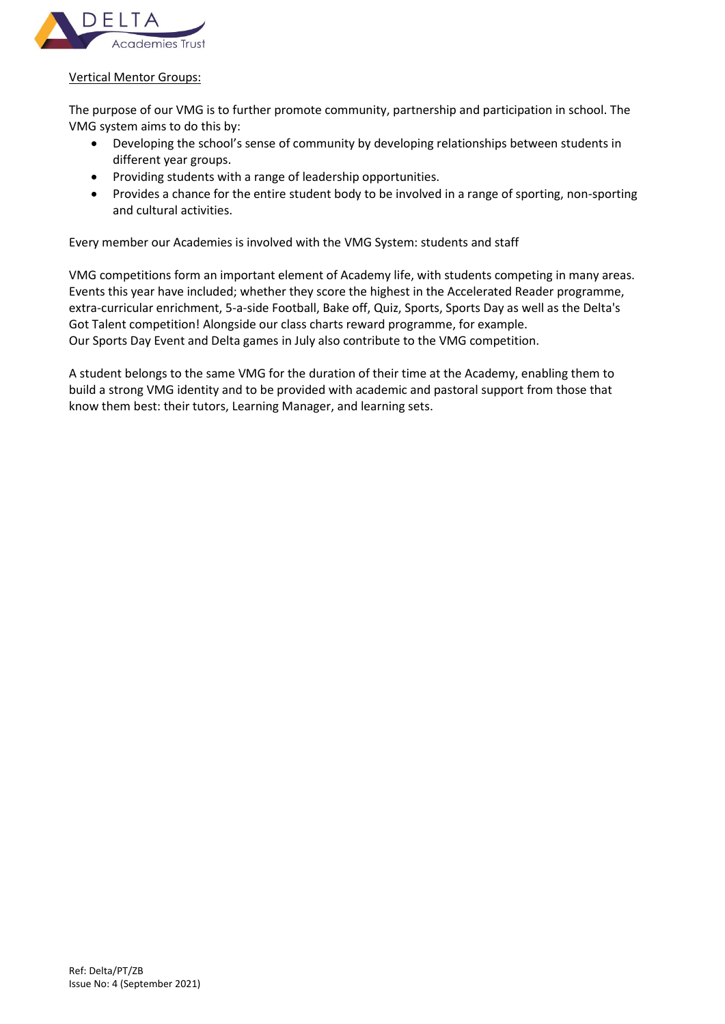

## Vertical Mentor Groups:

The purpose of our VMG is to further promote community, partnership and participation in school. The VMG system aims to do this by:

- Developing the school's sense of community by developing relationships between students in different year groups.
- Providing students with a range of leadership opportunities.
- Provides a chance for the entire student body to be involved in a range of sporting, non-sporting and cultural activities.

Every member our Academies is involved with the VMG System: students and staff

VMG competitions form an important element of Academy life, with students competing in many areas. Events this year have included; whether they score the highest in the Accelerated Reader programme, extra-curricular enrichment, 5-a-side Football, Bake off, Quiz, Sports, Sports Day as well as the Delta's Got Talent competition! Alongside our class charts reward programme, for example. Our Sports Day Event and Delta games in July also contribute to the VMG competition.

A student belongs to the same VMG for the duration of their time at the Academy, enabling them to build a strong VMG identity and to be provided with academic and pastoral support from those that know them best: their tutors, Learning Manager, and learning sets.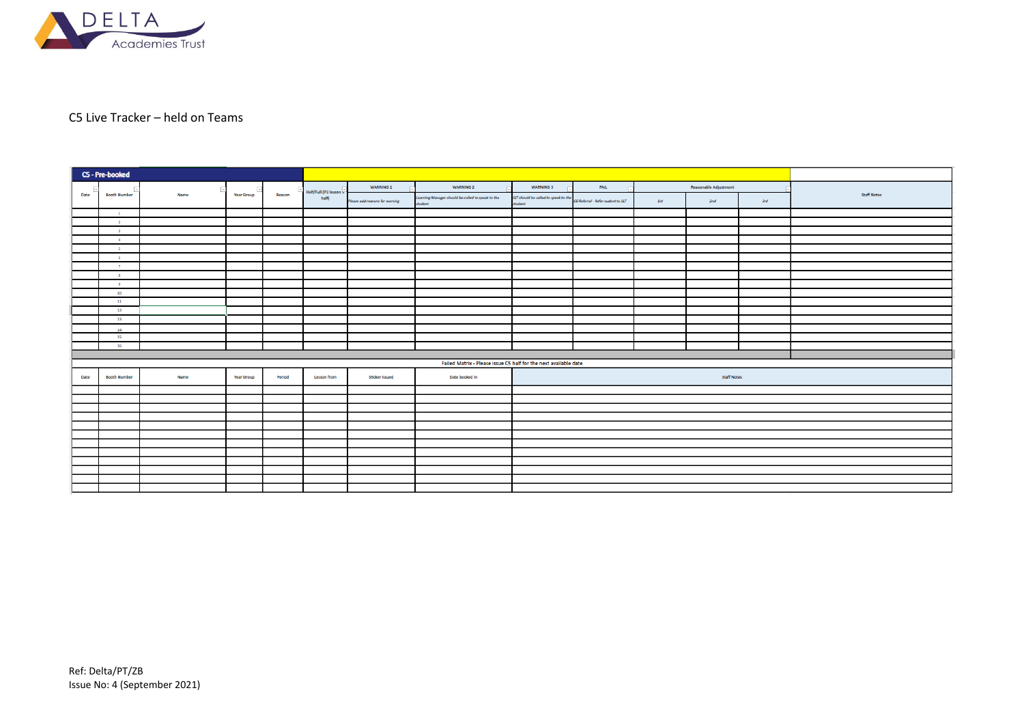

# C5 Live Tracker – held on Teams

|      | C5 - Pre-booked          |      |                   |        |                                  |                                |                                                                  |                                                |                                   |       |                       |            |                    |
|------|--------------------------|------|-------------------|--------|----------------------------------|--------------------------------|------------------------------------------------------------------|------------------------------------------------|-----------------------------------|-------|-----------------------|------------|--------------------|
|      |                          |      |                   |        |                                  | <b>WARNING 1</b>               | <b>WARNING 2</b>                                                 | <b>WARNING 3</b>                               | FAIL                              |       | Reasonable Adjustment |            |                    |
| Date | <b>Booth Number</b>      | Name | <b>Year Group</b> | Reason | Half/Full (P3 lesson in<br>half) | Please add reasons for warning | Learning Manager should be called to speak to the<br>student     | SLT should be called to speak to the<br>tudent | C6 Referral - Refer sudent to SLT | $1st$ | 2nd                   | <b>3rd</b> | <b>Staff Notes</b> |
|      | $\mathbf{1}$             |      |                   |        |                                  |                                |                                                                  |                                                |                                   |       |                       |            |                    |
|      | $\overline{2}$           |      |                   |        |                                  |                                |                                                                  |                                                |                                   |       |                       |            |                    |
|      | $\overline{\phantom{a}}$ |      |                   |        |                                  |                                |                                                                  |                                                |                                   |       |                       |            |                    |
|      | $\overline{4}$           |      |                   |        |                                  |                                |                                                                  |                                                |                                   |       |                       |            |                    |
|      | $\overline{\phantom{a}}$ |      |                   |        |                                  |                                |                                                                  |                                                |                                   |       |                       |            |                    |
|      | 6                        |      |                   |        |                                  |                                |                                                                  |                                                |                                   |       |                       |            |                    |
|      | $\overline{7}$           |      |                   |        |                                  |                                |                                                                  |                                                |                                   |       |                       |            |                    |
|      | $\mathbf{g}$             |      |                   |        |                                  |                                |                                                                  |                                                |                                   |       |                       |            |                    |
|      | -9                       |      |                   |        |                                  |                                |                                                                  |                                                |                                   |       |                       |            |                    |
|      | 10 <sub>1</sub>          |      |                   |        |                                  |                                |                                                                  |                                                |                                   |       |                       |            |                    |
|      | 11                       |      |                   |        |                                  |                                |                                                                  |                                                |                                   |       |                       |            |                    |
|      | 12                       |      |                   |        |                                  |                                |                                                                  |                                                |                                   |       |                       |            |                    |
|      | 13                       |      |                   |        |                                  |                                |                                                                  |                                                |                                   |       |                       |            |                    |
|      | 14                       |      |                   |        |                                  |                                |                                                                  |                                                |                                   |       |                       |            |                    |
|      | 15                       |      |                   |        |                                  |                                |                                                                  |                                                |                                   |       |                       |            |                    |
|      | 16                       |      |                   |        |                                  |                                |                                                                  |                                                |                                   |       |                       |            |                    |
|      |                          |      |                   |        |                                  |                                | Failed Matrix - Please issue C5 half for the next available date |                                                |                                   |       |                       |            |                    |
|      |                          |      |                   |        |                                  |                                |                                                                  |                                                |                                   |       |                       |            |                    |
| Date | <b>Booth Number</b>      | Name | <b>Year Group</b> | Period | Lesson from                      | <b>Sticker Issued</b>          | Date booked in                                                   |                                                |                                   |       | <b>Staff Notes</b>    |            |                    |
|      |                          |      |                   |        |                                  |                                |                                                                  |                                                |                                   |       |                       |            |                    |
|      |                          |      |                   |        |                                  |                                |                                                                  |                                                |                                   |       |                       |            |                    |
|      |                          |      |                   |        |                                  |                                |                                                                  |                                                |                                   |       |                       |            |                    |
|      |                          |      |                   |        |                                  |                                |                                                                  |                                                |                                   |       |                       |            |                    |
|      |                          |      |                   |        |                                  |                                |                                                                  |                                                |                                   |       |                       |            |                    |
|      |                          |      |                   |        |                                  |                                |                                                                  |                                                |                                   |       |                       |            |                    |
|      |                          |      |                   |        |                                  |                                |                                                                  |                                                |                                   |       |                       |            |                    |
|      |                          |      |                   |        |                                  |                                |                                                                  |                                                |                                   |       |                       |            |                    |
|      |                          |      |                   |        |                                  |                                |                                                                  |                                                |                                   |       |                       |            |                    |
|      |                          |      |                   |        |                                  |                                |                                                                  |                                                |                                   |       |                       |            |                    |
|      |                          |      |                   |        |                                  |                                |                                                                  |                                                |                                   |       |                       |            |                    |
|      |                          |      |                   |        |                                  |                                |                                                                  |                                                |                                   |       |                       |            |                    |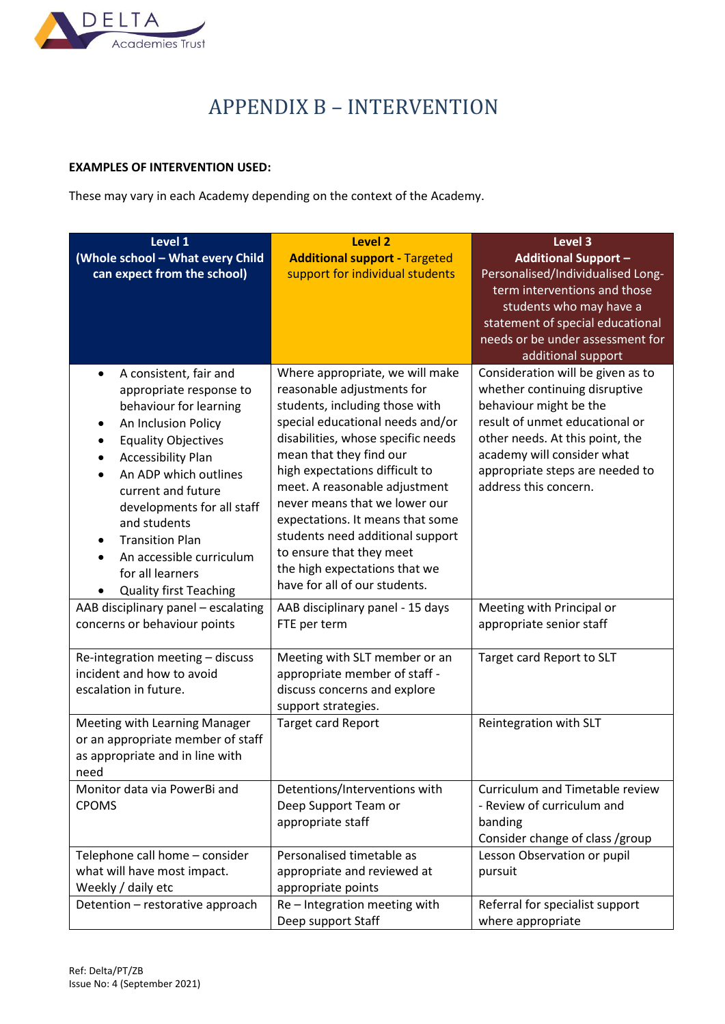<span id="page-26-0"></span>

# APPENDIX B – INTERVENTION

# **EXAMPLES OF INTERVENTION USED:**

These may vary in each Academy depending on the context of the Academy.

| Level 1                                                                                                                                                                                                                                                                                                                                                                                 | <b>Level 2</b>                                                                                                                                                                                                                                                                                                                                                                                                                                                                 | Level 3<br><b>Additional Support -</b>                                                                                                                                                                                                                      |  |  |
|-----------------------------------------------------------------------------------------------------------------------------------------------------------------------------------------------------------------------------------------------------------------------------------------------------------------------------------------------------------------------------------------|--------------------------------------------------------------------------------------------------------------------------------------------------------------------------------------------------------------------------------------------------------------------------------------------------------------------------------------------------------------------------------------------------------------------------------------------------------------------------------|-------------------------------------------------------------------------------------------------------------------------------------------------------------------------------------------------------------------------------------------------------------|--|--|
| (Whole school - What every Child<br>can expect from the school)                                                                                                                                                                                                                                                                                                                         | <b>Additional support - Targeted</b><br>support for individual students                                                                                                                                                                                                                                                                                                                                                                                                        | Personalised/Individualised Long-<br>term interventions and those<br>students who may have a<br>statement of special educational<br>needs or be under assessment for<br>additional support                                                                  |  |  |
| A consistent, fair and<br>$\bullet$<br>appropriate response to<br>behaviour for learning<br>An Inclusion Policy<br>٠<br><b>Equality Objectives</b><br><b>Accessibility Plan</b><br>An ADP which outlines<br>current and future<br>developments for all staff<br>and students<br><b>Transition Plan</b><br>An accessible curriculum<br>for all learners<br><b>Quality first Teaching</b> | Where appropriate, we will make<br>reasonable adjustments for<br>students, including those with<br>special educational needs and/or<br>disabilities, whose specific needs<br>mean that they find our<br>high expectations difficult to<br>meet. A reasonable adjustment<br>never means that we lower our<br>expectations. It means that some<br>students need additional support<br>to ensure that they meet<br>the high expectations that we<br>have for all of our students. | Consideration will be given as to<br>whether continuing disruptive<br>behaviour might be the<br>result of unmet educational or<br>other needs. At this point, the<br>academy will consider what<br>appropriate steps are needed to<br>address this concern. |  |  |
| AAB disciplinary panel - escalating<br>concerns or behaviour points                                                                                                                                                                                                                                                                                                                     | AAB disciplinary panel - 15 days<br>FTE per term                                                                                                                                                                                                                                                                                                                                                                                                                               | Meeting with Principal or<br>appropriate senior staff                                                                                                                                                                                                       |  |  |
| Re-integration meeting - discuss<br>incident and how to avoid<br>escalation in future.                                                                                                                                                                                                                                                                                                  | Meeting with SLT member or an<br>appropriate member of staff -<br>discuss concerns and explore<br>support strategies.                                                                                                                                                                                                                                                                                                                                                          | Target card Report to SLT                                                                                                                                                                                                                                   |  |  |
| Meeting with Learning Manager<br>or an appropriate member of staff<br>as appropriate and in line with<br>need                                                                                                                                                                                                                                                                           | <b>Target card Report</b>                                                                                                                                                                                                                                                                                                                                                                                                                                                      | Reintegration with SLT                                                                                                                                                                                                                                      |  |  |
| Monitor data via PowerBi and<br><b>CPOMS</b>                                                                                                                                                                                                                                                                                                                                            | Detentions/Interventions with<br>Deep Support Team or<br>appropriate staff                                                                                                                                                                                                                                                                                                                                                                                                     | Curriculum and Timetable review<br>- Review of curriculum and<br>banding<br>Consider change of class /group                                                                                                                                                 |  |  |
| Telephone call home - consider<br>what will have most impact.<br>Weekly / daily etc                                                                                                                                                                                                                                                                                                     | Personalised timetable as<br>appropriate and reviewed at<br>appropriate points                                                                                                                                                                                                                                                                                                                                                                                                 | Lesson Observation or pupil<br>pursuit                                                                                                                                                                                                                      |  |  |
| Detention - restorative approach                                                                                                                                                                                                                                                                                                                                                        | Re-Integration meeting with<br>Deep support Staff                                                                                                                                                                                                                                                                                                                                                                                                                              | Referral for specialist support<br>where appropriate                                                                                                                                                                                                        |  |  |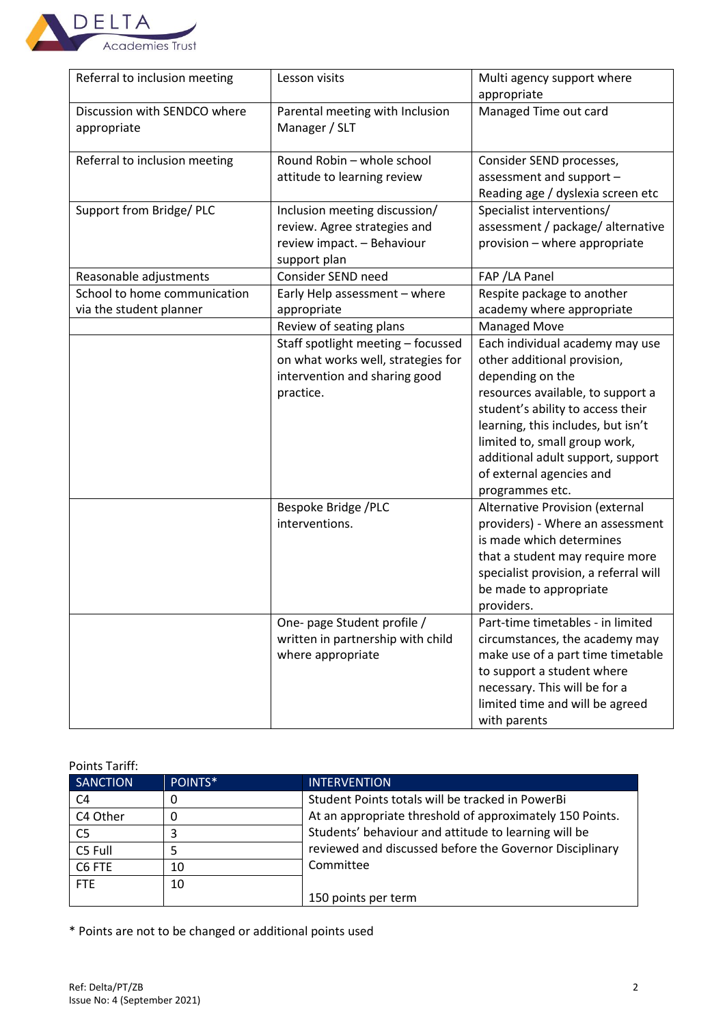

| Referral to inclusion meeting                           | Lesson visits                                                                                                          | Multi agency support where<br>appropriate                                                                                                                                                                                                                                                                               |
|---------------------------------------------------------|------------------------------------------------------------------------------------------------------------------------|-------------------------------------------------------------------------------------------------------------------------------------------------------------------------------------------------------------------------------------------------------------------------------------------------------------------------|
| Discussion with SENDCO where<br>appropriate             | Parental meeting with Inclusion<br>Manager / SLT                                                                       | Managed Time out card                                                                                                                                                                                                                                                                                                   |
| Referral to inclusion meeting                           | Round Robin - whole school<br>attitude to learning review                                                              | Consider SEND processes,<br>assessment and support -<br>Reading age / dyslexia screen etc                                                                                                                                                                                                                               |
| Support from Bridge/ PLC                                | Inclusion meeting discussion/<br>review. Agree strategies and<br>review impact. - Behaviour<br>support plan            | Specialist interventions/<br>assessment / package/ alternative<br>provision - where appropriate                                                                                                                                                                                                                         |
| Reasonable adjustments                                  | Consider SEND need                                                                                                     | FAP / LA Panel                                                                                                                                                                                                                                                                                                          |
| School to home communication<br>via the student planner | Early Help assessment - where<br>appropriate                                                                           | Respite package to another<br>academy where appropriate                                                                                                                                                                                                                                                                 |
|                                                         | Review of seating plans                                                                                                | Managed Move                                                                                                                                                                                                                                                                                                            |
|                                                         | Staff spotlight meeting - focussed<br>on what works well, strategies for<br>intervention and sharing good<br>practice. | Each individual academy may use<br>other additional provision,<br>depending on the<br>resources available, to support a<br>student's ability to access their<br>learning, this includes, but isn't<br>limited to, small group work,<br>additional adult support, support<br>of external agencies and<br>programmes etc. |
|                                                         | Bespoke Bridge /PLC<br>interventions.                                                                                  | Alternative Provision (external<br>providers) - Where an assessment<br>is made which determines<br>that a student may require more<br>specialist provision, a referral will<br>be made to appropriate<br>providers.                                                                                                     |
|                                                         | One- page Student profile /<br>written in partnership with child<br>where appropriate                                  | Part-time timetables - in limited<br>circumstances, the academy may<br>make use of a part time timetable<br>to support a student where<br>necessary. This will be for a<br>limited time and will be agreed<br>with parents                                                                                              |

Points Tariff: SANCTION POINTS\* INTERVENTION C4 0 0 Student Points totals will be tracked in PowerBi At an appropriate threshold of approximately 150 Points. Students' behaviour and attitude to learning will be reviewed and discussed before the Governor Disciplinary Committee 150 points per term  $C4$  Other  $\big| 0$  $\begin{array}{|c|c|c|}\n\hline\n\text{C5 Full} & \text{5} \\
\hline\n\end{array}$  $C5$  Full  $C6$  FTE  $\vert$  10 FTE 10

\* Points are not to be changed or additional points used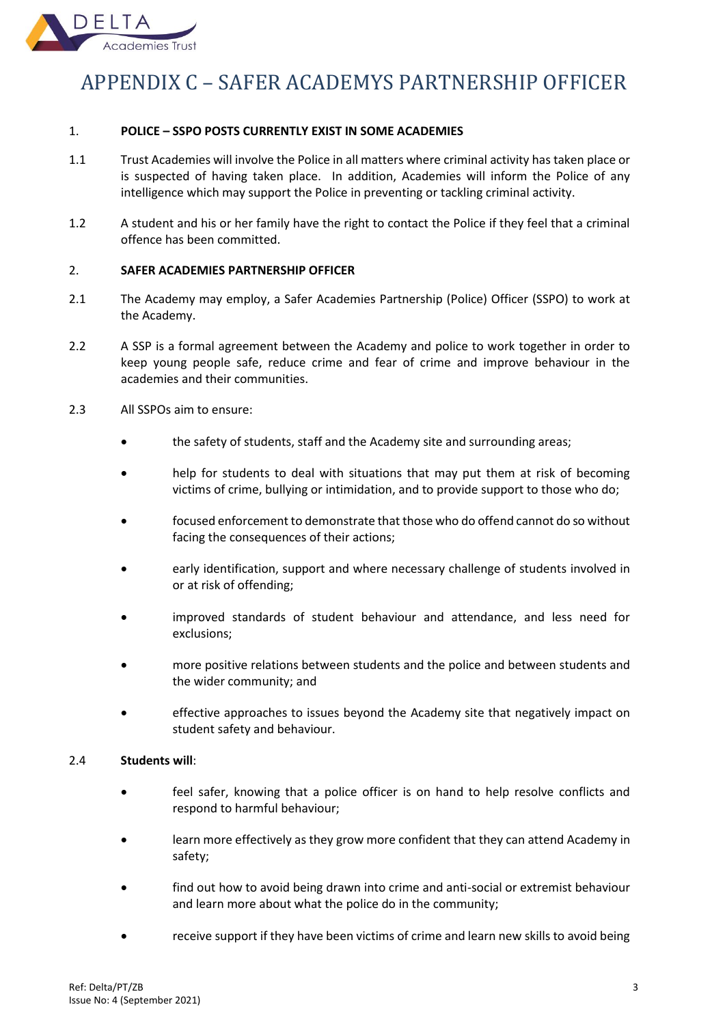

# <span id="page-28-0"></span>APPENDIX C – SAFER ACADEMYS PARTNERSHIP OFFICER

## 1. **POLICE – SSPO POSTS CURRENTLY EXIST IN SOME ACADEMIES**

- 1.1 Trust Academies will involve the Police in all matters where criminal activity has taken place or is suspected of having taken place. In addition, Academies will inform the Police of any intelligence which may support the Police in preventing or tackling criminal activity.
- 1.2 A student and his or her family have the right to contact the Police if they feel that a criminal offence has been committed.

# 2. **SAFER ACADEMIES PARTNERSHIP OFFICER**

- 2.1 The Academy may employ, a Safer Academies Partnership (Police) Officer (SSPO) to work at the Academy.
- 2.2 A SSP is a formal agreement between the Academy and police to work together in order to keep young people safe, reduce crime and fear of crime and improve behaviour in the academies and their communities.
- 2.3 All SSPOs aim to ensure:
	- the safety of students, staff and the Academy site and surrounding areas;
	- help for students to deal with situations that may put them at risk of becoming victims of crime, bullying or intimidation, and to provide support to those who do;
	- focused enforcement to demonstrate that those who do offend cannot do so without facing the consequences of their actions;
	- early identification, support and where necessary challenge of students involved in or at risk of offending;
	- improved standards of student behaviour and attendance, and less need for exclusions;
	- more positive relations between students and the police and between students and the wider community; and
	- effective approaches to issues beyond the Academy site that negatively impact on student safety and behaviour.

## 2.4 **Students will**:

- feel safer, knowing that a police officer is on hand to help resolve conflicts and respond to harmful behaviour;
- learn more effectively as they grow more confident that they can attend Academy in safety;
- find out how to avoid being drawn into crime and anti-social or extremist behaviour and learn more about what the police do in the community;
- receive support if they have been victims of crime and learn new skills to avoid being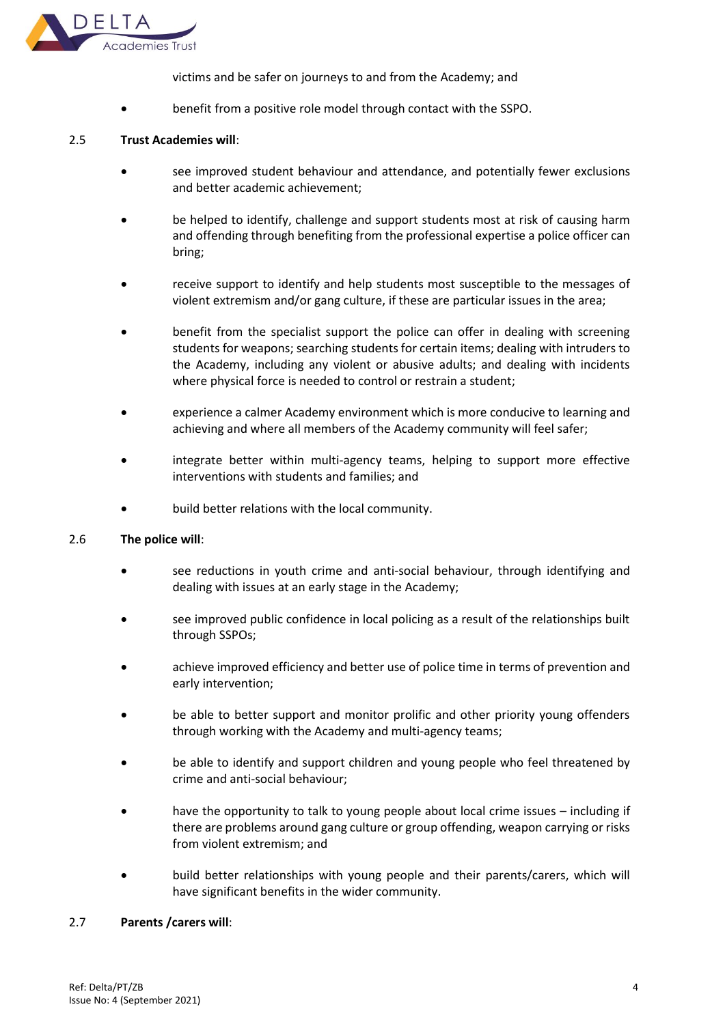

victims and be safer on journeys to and from the Academy; and

• benefit from a positive role model through contact with the SSPO.

## 2.5 **Trust Academies will**:

- see improved student behaviour and attendance, and potentially fewer exclusions and better academic achievement;
- be helped to identify, challenge and support students most at risk of causing harm and offending through benefiting from the professional expertise a police officer can bring;
- receive support to identify and help students most susceptible to the messages of violent extremism and/or gang culture, if these are particular issues in the area;
- benefit from the specialist support the police can offer in dealing with screening students for weapons; searching students for certain items; dealing with intruders to the Academy, including any violent or abusive adults; and dealing with incidents where physical force is needed to control or restrain a student;
- experience a calmer Academy environment which is more conducive to learning and achieving and where all members of the Academy community will feel safer;
- integrate better within multi-agency teams, helping to support more effective interventions with students and families; and
- build better relations with the local community.

## 2.6 **The police will**:

- see reductions in youth crime and anti-social behaviour, through identifying and dealing with issues at an early stage in the Academy;
- see improved public confidence in local policing as a result of the relationships built through SSPOs;
- achieve improved efficiency and better use of police time in terms of prevention and early intervention;
- be able to better support and monitor prolific and other priority young offenders through working with the Academy and multi-agency teams;
- be able to identify and support children and young people who feel threatened by crime and anti-social behaviour;
- have the opportunity to talk to young people about local crime issues including if there are problems around gang culture or group offending, weapon carrying or risks from violent extremism; and
- build better relationships with young people and their parents/carers, which will have significant benefits in the wider community.

## 2.7 **Parents /carers will**: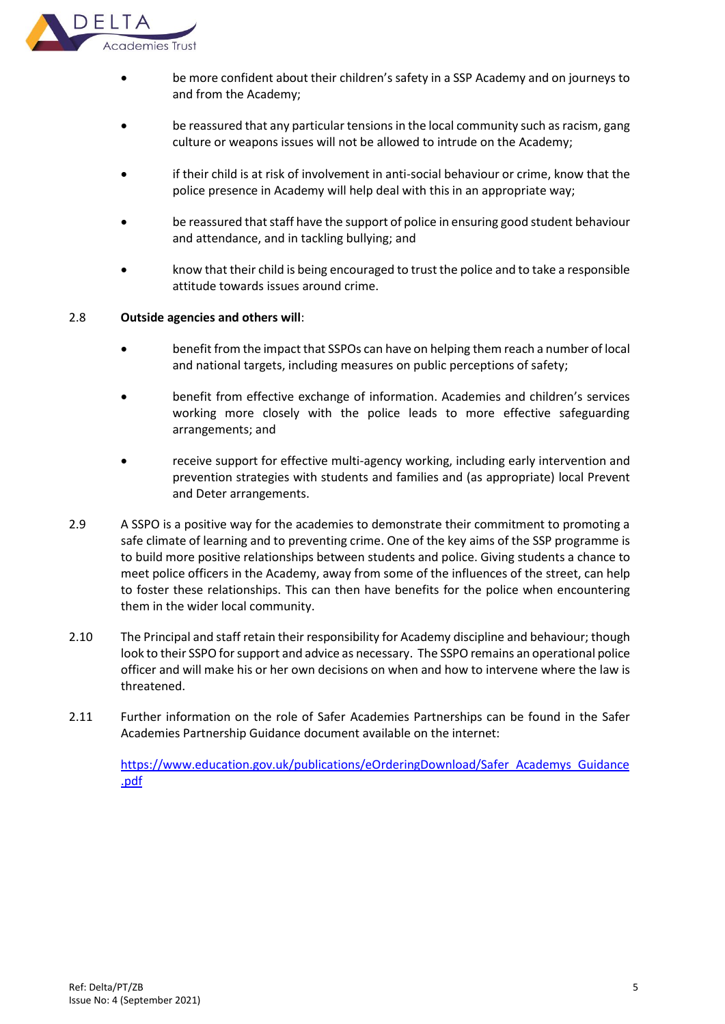

- be more confident about their children's safety in a SSP Academy and on journeys to and from the Academy;
- be reassured that any particular tensions in the local community such as racism, gang culture or weapons issues will not be allowed to intrude on the Academy;
- if their child is at risk of involvement in anti-social behaviour or crime, know that the police presence in Academy will help deal with this in an appropriate way;
- be reassured that staff have the support of police in ensuring good student behaviour and attendance, and in tackling bullying; and
- know that their child is being encouraged to trust the police and to take a responsible attitude towards issues around crime.

## 2.8 **Outside agencies and others will**:

- benefit from the impact that SSPOs can have on helping them reach a number of local and national targets, including measures on public perceptions of safety;
- benefit from effective exchange of information. Academies and children's services working more closely with the police leads to more effective safeguarding arrangements; and
- receive support for effective multi-agency working, including early intervention and prevention strategies with students and families and (as appropriate) local Prevent and Deter arrangements.
- 2.9 A SSPO is a positive way for the academies to demonstrate their commitment to promoting a safe climate of learning and to preventing crime. One of the key aims of the SSP programme is to build more positive relationships between students and police. Giving students a chance to meet police officers in the Academy, away from some of the influences of the street, can help to foster these relationships. This can then have benefits for the police when encountering them in the wider local community.
- 2.10 The Principal and staff retain their responsibility for Academy discipline and behaviour; though look to their SSPO for support and advice as necessary. The SSPO remains an operational police officer and will make his or her own decisions on when and how to intervene where the law is threatened.
- 2.11 Further information on the role of Safer Academies Partnerships can be found in the Safer Academies Partnership Guidance document available on the internet:

[https://www.education.gov.uk/publications/eOrderingDownload/Safer\\_Academys\\_Guidance](https://www.education.gov.uk/publications/eOrderingDownload/Safer_Schools_Guidance.pdf) [.pdf](https://www.education.gov.uk/publications/eOrderingDownload/Safer_Schools_Guidance.pdf)